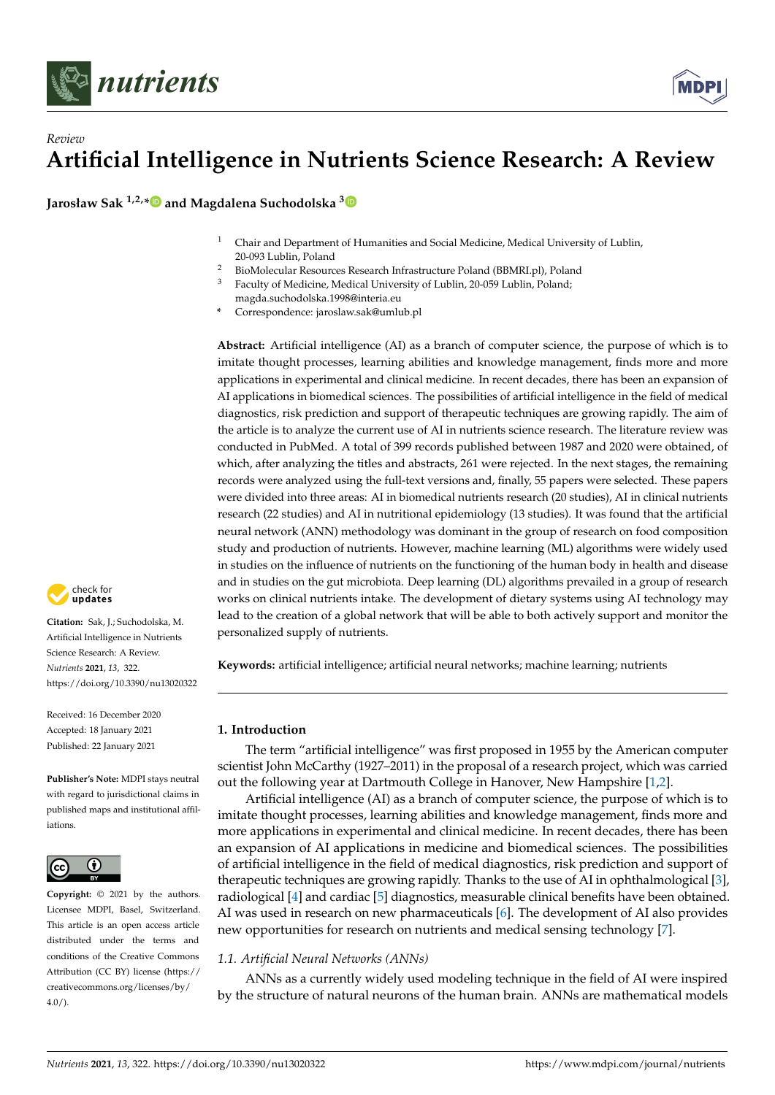



**Jarosław Sak 1,2,[\\*](https://orcid.org/0000-0002-8763-0683) and Magdalena Suchodolska [3](https://orcid.org/0000-0002-1995-5136)**

- <sup>1</sup> Chair and Department of Humanities and Social Medicine, Medical University of Lublin, 20-093 Lublin, Poland
- 2 BioMolecular Resources Research Infrastructure Poland (BBMRI.pl), Poland<br>3 Easy by of Modising Modisal University of Lublin 20,050 Lublin Bolandy
- <sup>3</sup> Faculty of Medicine, Medical University of Lublin, 20-059 Lublin, Poland;
	- magda.suchodolska.1998@interia.eu
- **\*** Correspondence: jaroslaw.sak@umlub.pl

**Abstract:** Artificial intelligence (AI) as a branch of computer science, the purpose of which is to imitate thought processes, learning abilities and knowledge management, finds more and more applications in experimental and clinical medicine. In recent decades, there has been an expansion of AI applications in biomedical sciences. The possibilities of artificial intelligence in the field of medical diagnostics, risk prediction and support of therapeutic techniques are growing rapidly. The aim of the article is to analyze the current use of AI in nutrients science research. The literature review was conducted in PubMed. A total of 399 records published between 1987 and 2020 were obtained, of which, after analyzing the titles and abstracts, 261 were rejected. In the next stages, the remaining records were analyzed using the full-text versions and, finally, 55 papers were selected. These papers were divided into three areas: AI in biomedical nutrients research (20 studies), AI in clinical nutrients research (22 studies) and AI in nutritional epidemiology (13 studies). It was found that the artificial neural network (ANN) methodology was dominant in the group of research on food composition study and production of nutrients. However, machine learning (ML) algorithms were widely used in studies on the influence of nutrients on the functioning of the human body in health and disease and in studies on the gut microbiota. Deep learning (DL) algorithms prevailed in a group of research works on clinical nutrients intake. The development of dietary systems using AI technology may lead to the creation of a global network that will be able to both actively support and monitor the personalized supply of nutrients.

**Keywords:** artificial intelligence; artificial neural networks; machine learning; nutrients

# **1. Introduction**

The term "artificial intelligence" was first proposed in 1955 by the American computer scientist John McCarthy (1927–2011) in the proposal of a research project, which was carried out the following year at Dartmouth College in Hanover, New Hampshire [\[1,](#page-12-0)[2\]](#page-12-1).

Artificial intelligence (AI) as a branch of computer science, the purpose of which is to imitate thought processes, learning abilities and knowledge management, finds more and more applications in experimental and clinical medicine. In recent decades, there has been an expansion of AI applications in medicine and biomedical sciences. The possibilities of artificial intelligence in the field of medical diagnostics, risk prediction and support of therapeutic techniques are growing rapidly. Thanks to the use of AI in ophthalmological [\[3\]](#page-12-2), radiological [\[4\]](#page-12-3) and cardiac [\[5\]](#page-12-4) diagnostics, measurable clinical benefits have been obtained. AI was used in research on new pharmaceuticals [\[6\]](#page-12-5). The development of AI also provides new opportunities for research on nutrients and medical sensing technology [\[7\]](#page-12-6).

# *1.1. Artificial Neural Networks (ANNs)*

ANNs as a currently widely used modeling technique in the field of AI were inspired by the structure of natural neurons of the human brain. ANNs are mathematical models



**Citation:** Sak, J.; Suchodolska, M. Artificial Intelligence in Nutrients Science Research: A Review. *Nutrients* **2021**, *13*, 322. <https://doi.org/10.3390/nu13020322>

Received: 16 December 2020 Accepted: 18 January 2021 Published: 22 January 2021

**Publisher's Note:** MDPI stays neutral with regard to jurisdictional claims in published maps and institutional affiliations.



**Copyright:** © 2021 by the authors. Licensee MDPI, Basel, Switzerland. This article is an open access article distributed under the terms and conditions of the Creative Commons Attribution (CC BY) license (https:/[/](https://creativecommons.org/licenses/by/4.0/) [creativecommons.org/licenses/by/](https://creativecommons.org/licenses/by/4.0/)  $4.0/$ ).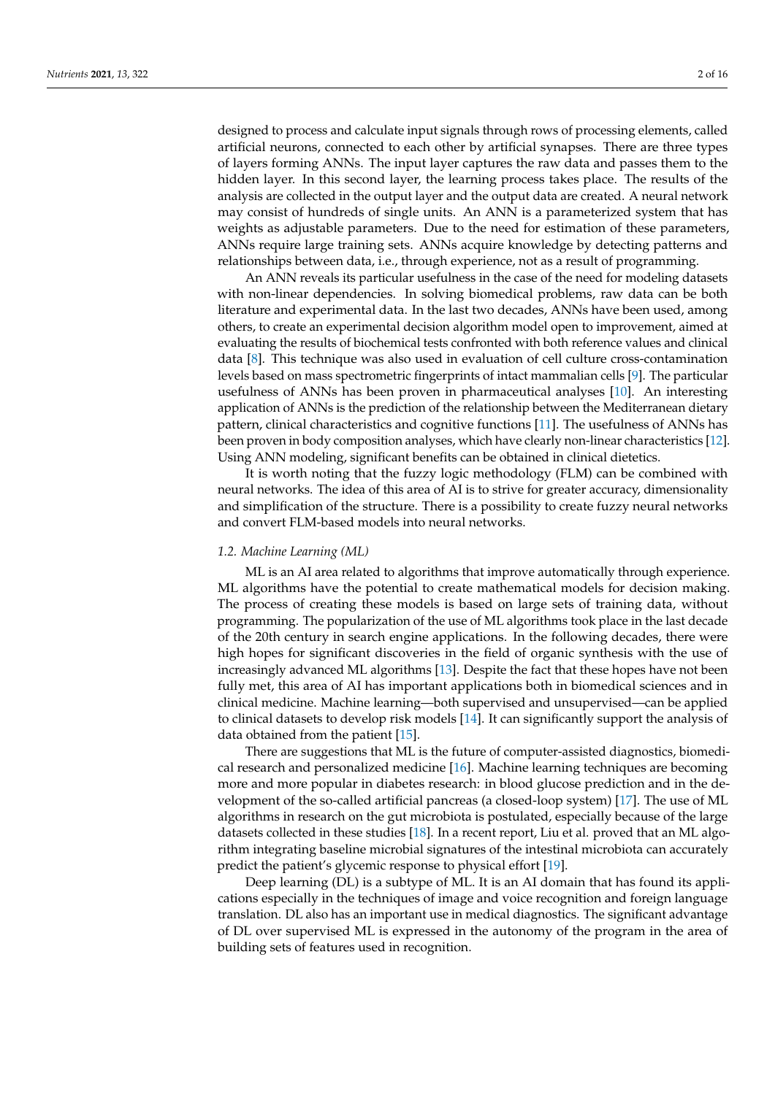designed to process and calculate input signals through rows of processing elements, called artificial neurons, connected to each other by artificial synapses. There are three types of layers forming ANNs. The input layer captures the raw data and passes them to the hidden layer. In this second layer, the learning process takes place. The results of the analysis are collected in the output layer and the output data are created. A neural network may consist of hundreds of single units. An ANN is a parameterized system that has weights as adjustable parameters. Due to the need for estimation of these parameters, ANNs require large training sets. ANNs acquire knowledge by detecting patterns and relationships between data, i.e., through experience, not as a result of programming.

An ANN reveals its particular usefulness in the case of the need for modeling datasets with non-linear dependencies. In solving biomedical problems, raw data can be both literature and experimental data. In the last two decades, ANNs have been used, among others, to create an experimental decision algorithm model open to improvement, aimed at evaluating the results of biochemical tests confronted with both reference values and clinical data [\[8\]](#page-12-7). This technique was also used in evaluation of cell culture cross-contamination levels based on mass spectrometric fingerprints of intact mammalian cells [\[9\]](#page-12-8). The particular usefulness of ANNs has been proven in pharmaceutical analyses [\[10\]](#page-12-9). An interesting application of ANNs is the prediction of the relationship between the Mediterranean dietary pattern, clinical characteristics and cognitive functions [\[11\]](#page-12-10). The usefulness of ANNs has been proven in body composition analyses, which have clearly non-linear characteristics [\[12\]](#page-12-11). Using ANN modeling, significant benefits can be obtained in clinical dietetics.

It is worth noting that the fuzzy logic methodology (FLM) can be combined with neural networks. The idea of this area of AI is to strive for greater accuracy, dimensionality and simplification of the structure. There is a possibility to create fuzzy neural networks and convert FLM-based models into neural networks.

#### *1.2. Machine Learning (ML)*

ML is an AI area related to algorithms that improve automatically through experience. ML algorithms have the potential to create mathematical models for decision making. The process of creating these models is based on large sets of training data, without programming. The popularization of the use of ML algorithms took place in the last decade of the 20th century in search engine applications. In the following decades, there were high hopes for significant discoveries in the field of organic synthesis with the use of increasingly advanced ML algorithms [\[13\]](#page-12-12). Despite the fact that these hopes have not been fully met, this area of AI has important applications both in biomedical sciences and in clinical medicine. Machine learning—both supervised and unsupervised—can be applied to clinical datasets to develop risk models [\[14\]](#page-12-13). It can significantly support the analysis of data obtained from the patient [\[15\]](#page-12-14).

There are suggestions that ML is the future of computer-assisted diagnostics, biomedical research and personalized medicine [\[16\]](#page-12-15). Machine learning techniques are becoming more and more popular in diabetes research: in blood glucose prediction and in the development of the so-called artificial pancreas (a closed-loop system) [\[17\]](#page-12-16). The use of ML algorithms in research on the gut microbiota is postulated, especially because of the large datasets collected in these studies [\[18\]](#page-12-17). In a recent report, Liu et al. proved that an ML algorithm integrating baseline microbial signatures of the intestinal microbiota can accurately predict the patient's glycemic response to physical effort [\[19\]](#page-12-18).

Deep learning (DL) is a subtype of ML. It is an AI domain that has found its applications especially in the techniques of image and voice recognition and foreign language translation. DL also has an important use in medical diagnostics. The significant advantage of DL over supervised ML is expressed in the autonomy of the program in the area of building sets of features used in recognition.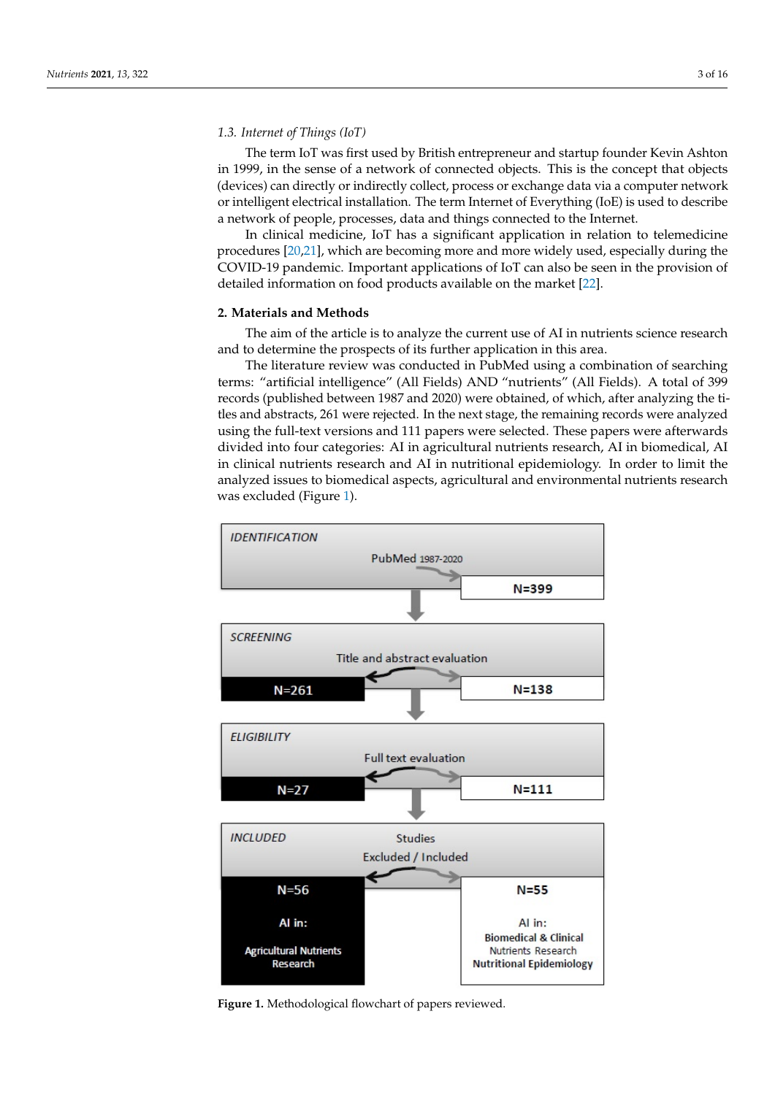## *1.3. Internet of Things (IoT)*

The term IoT was first used by British entrepreneur and startup founder Kevin Ashton in 1999, in the sense of a network of connected objects. This is the concept that objects (devices) can directly or indirectly collect, process or exchange data via a computer network or intelligent electrical installation. The term Internet of Everything (IoE) is used to describe a network of people, processes, data and things connected to the Internet.

In clinical medicine, IoT has a significant application in relation to telemedicine procedures [\[20](#page-12-19)[,21\]](#page-12-20), which are becoming more and more widely used, especially during the COVID-19 pandemic. Important applications of IoT can also be seen in the provision of detailed information on food products available on the market [\[22\]](#page-13-0).

#### **2. Materials and Methods**

The aim of the article is to analyze the current use of AI in nutrients science research and to determine the prospects of its further application in this area.

The literature review was conducted in PubMed using a combination of searching terms: "artificial intelligence" (All Fields) AND "nutrients" (All Fields). A total of 399 records (published between 1987 and 2020) were obtained, of which, after analyzing the titles and abstracts, 261 were rejected. In the next stage, the remaining records were analyzed using the full-text versions and 111 papers were selected. These papers were afterwards divided into four categories: AI in agricultural nutrients research, AI in biomedical, AI in clinical nutrients research and AI in nutritional epidemiology. In order to limit the analyzed issues to biomedical aspects*,* agricultural and environmental nutrients research was excluded (Figure [1\)](#page-2-0).

<span id="page-2-0"></span>

**Figure 1.** Methodological flowchart of papers reviewed. Figure 1. Methodological flowchart of papers reviewed.<br> **Figure 1.** Methodological flowchart of papers reviewed.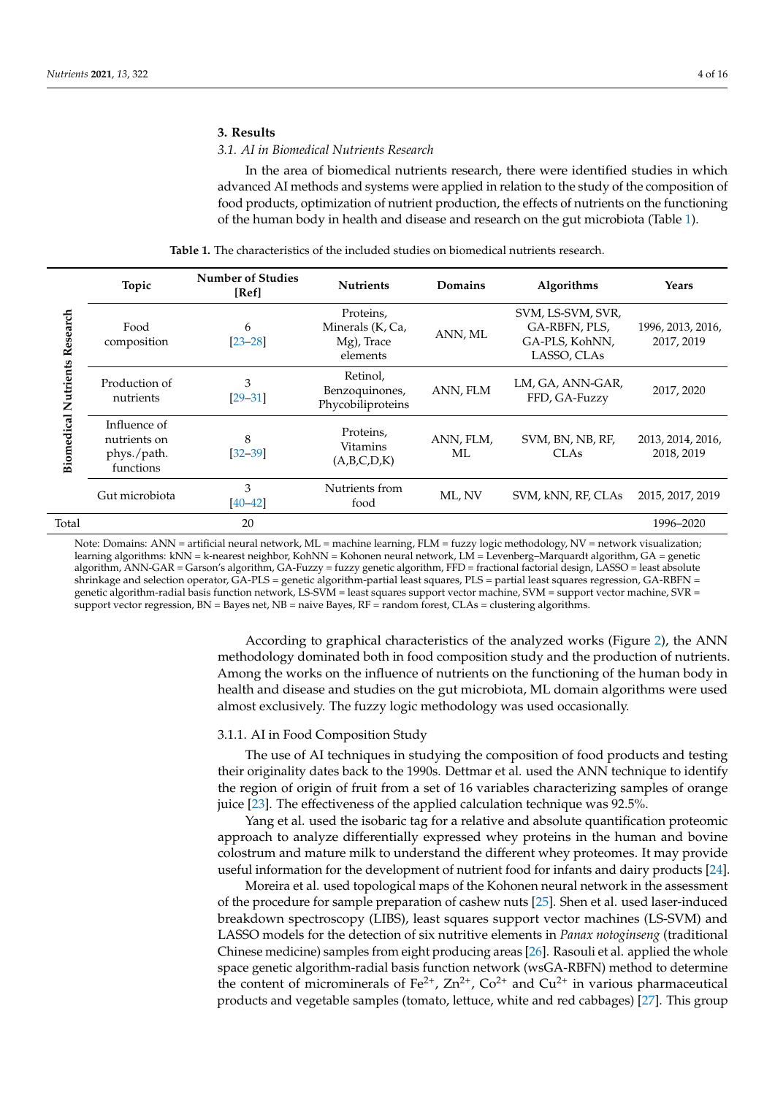## **3. Results**

## *3.1. AI in Biomedical Nutrients Research*

In the area of biomedical nutrients research, there were identified studies in which advanced AI methods and systems were applied in relation to the study of the composition of food products, optimization of nutrient production, the effects of nutrients on the functioning of the human body in health and disease and research on the gut microbiota (Table [1\)](#page-3-0).

<span id="page-3-0"></span>

|                                         | Topic                                                    | <b>Number of Studies</b><br>[Ref] | <b>Nutrients</b>                                        | Domains         | Algorithms                                                          | Years                           |
|-----------------------------------------|----------------------------------------------------------|-----------------------------------|---------------------------------------------------------|-----------------|---------------------------------------------------------------------|---------------------------------|
| Research<br><b>Biomedical Nutrients</b> | Food<br>composition                                      | 6<br>$[23 - 28]$                  | Proteins,<br>Minerals (K, Ca,<br>Mg), Trace<br>elements | ANN, ML         | SVM, LS-SVM, SVR,<br>GA-RBFN, PLS,<br>GA-PLS, KohNN,<br>LASSO, CLAs | 1996, 2013, 2016,<br>2017, 2019 |
|                                         | Production of<br>nutrients                               | 3<br>$[29 - 31]$                  | Retinol,<br>Benzoquinones,<br>Phycobiliproteins         | ANN, FLM        | LM, GA, ANN-GAR,<br>FFD, GA-Fuzzy                                   | 2017, 2020                      |
|                                         | Influence of<br>nutrients on<br>phys./path.<br>functions | 8<br>$[32 - 39]$                  | Proteins,<br><b>Vitamins</b><br>(A,B,C,D,K)             | ANN, FLM,<br>ML | SVM, BN, NB, RF,<br><b>CLAs</b>                                     | 2013, 2014, 2016,<br>2018, 2019 |
|                                         | Gut microbiota                                           | 3<br>$[40 - 42]$                  | Nutrients from<br>food                                  | ML, NV          | SVM, kNN, RF, CLAs                                                  | 2015, 2017, 2019                |
| Total                                   |                                                          | 20                                |                                                         |                 |                                                                     | 1996-2020                       |

**Table 1.** The characteristics of the included studies on biomedical nutrients research.

Note: Domains: ANN = artificial neural network, ML = machine learning, FLM = fuzzy logic methodology, NV = network visualization; learning algorithms: kNN = k-nearest neighbor, KohNN = Kohonen neural network, LM = Levenberg–Marquardt algorithm, GA = genetic algorithm, ANN-GAR = Garson's algorithm, GA-Fuzzy = fuzzy genetic algorithm, FFD = fractional factorial design, LASSO = least absolute shrinkage and selection operator, GA-PLS = genetic algorithm-partial least squares, PLS = partial least squares regression, GA-RBFN = genetic algorithm-radial basis function network, LS-SVM = least squares support vector machine, SVM = support vector machine, SVR = support vector regression, BN = Bayes net, NB = naive Bayes, RF = random forest, CLAs = clustering algorithms.

> According to graphical characteristics of the analyzed works (Figure [2\)](#page-10-0), the ANN methodology dominated both in food composition study and the production of nutrients. Among the works on the influence of nutrients on the functioning of the human body in health and disease and studies on the gut microbiota, ML domain algorithms were used almost exclusively. The fuzzy logic methodology was used occasionally.

# 3.1.1. AI in Food Composition Study

The use of AI techniques in studying the composition of food products and testing their originality dates back to the 1990s. Dettmar et al. used the ANN technique to identify the region of origin of fruit from a set of 16 variables characterizing samples of orange juice [\[23\]](#page-13-1). The effectiveness of the applied calculation technique was 92.5%.

Yang et al. used the isobaric tag for a relative and absolute quantification proteomic approach to analyze differentially expressed whey proteins in the human and bovine colostrum and mature milk to understand the different whey proteomes. It may provide useful information for the development of nutrient food for infants and dairy products [\[24\]](#page-13-9).

Moreira et al. used topological maps of the Kohonen neural network in the assessment of the procedure for sample preparation of cashew nuts [\[25\]](#page-13-10). Shen et al. used laser-induced breakdown spectroscopy (LIBS), least squares support vector machines (LS-SVM) and LASSO models for the detection of six nutritive elements in *Panax notoginseng* (traditional Chinese medicine) samples from eight producing areas [\[26\]](#page-13-11). Rasouli et al. applied the whole space genetic algorithm-radial basis function network (wsGA-RBFN) method to determine the content of microminerals of Fe<sup>2+</sup>,  $Zn^{2+}$ ,  $Co^{2+}$  and  $Cu^{2+}$  in various pharmaceutical products and vegetable samples (tomato, lettuce, white and red cabbages) [\[27\]](#page-13-12). This group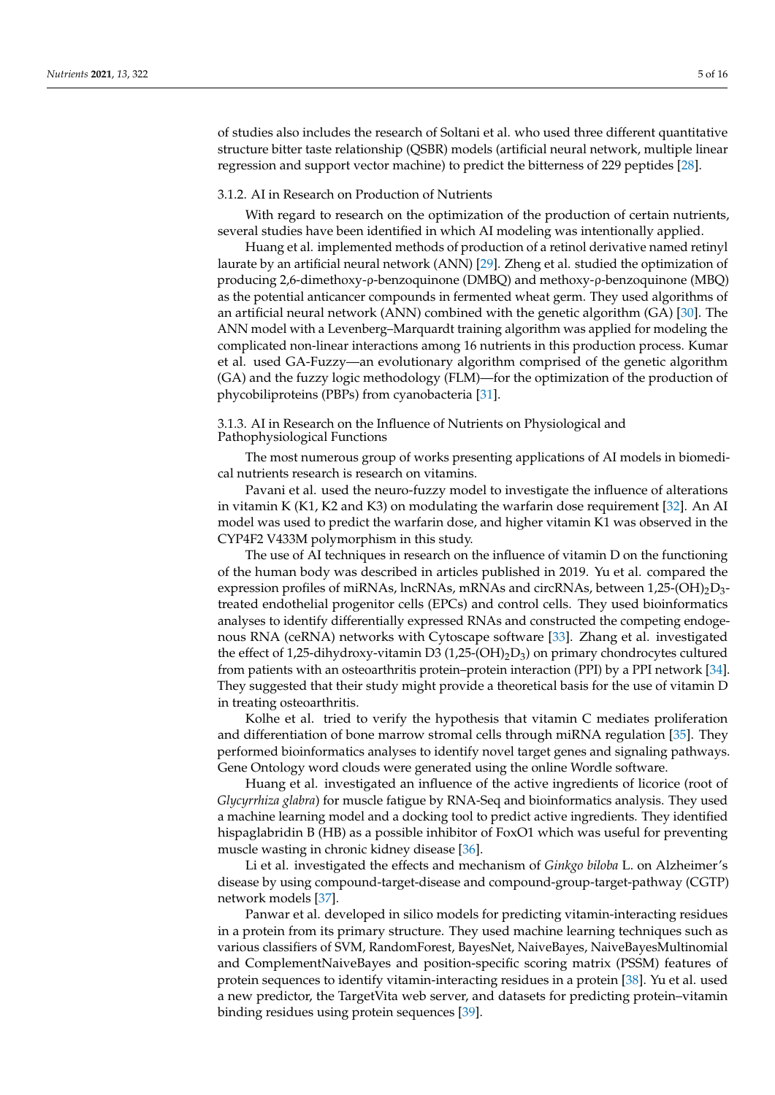of studies also includes the research of Soltani et al. who used three different quantitative structure bitter taste relationship (QSBR) models (artificial neural network, multiple linear regression and support vector machine) to predict the bitterness of 229 peptides [\[28\]](#page-13-2).

#### 3.1.2. AI in Research on Production of Nutrients

With regard to research on the optimization of the production of certain nutrients, several studies have been identified in which AI modeling was intentionally applied.

Huang et al. implemented methods of production of a retinol derivative named retinyl laurate by an artificial neural network (ANN) [\[29\]](#page-13-3). Zheng et al. studied the optimization of producing 2,6-dimethoxy-ρ-benzoquinone (DMBQ) and methoxy-ρ-benzoquinone (MBQ) as the potential anticancer compounds in fermented wheat germ. They used algorithms of an artificial neural network (ANN) combined with the genetic algorithm (GA) [\[30\]](#page-13-13). The ANN model with a Levenberg–Marquardt training algorithm was applied for modeling the complicated non-linear interactions among 16 nutrients in this production process. Kumar et al. used GA-Fuzzy—an evolutionary algorithm comprised of the genetic algorithm (GA) and the fuzzy logic methodology (FLM)—for the optimization of the production of phycobiliproteins (PBPs) from cyanobacteria [\[31\]](#page-13-4).

3.1.3. AI in Research on the Influence of Nutrients on Physiological and Pathophysiological Functions

The most numerous group of works presenting applications of AI models in biomedical nutrients research is research on vitamins.

Pavani et al. used the neuro-fuzzy model to investigate the influence of alterations in vitamin K (K1, K2 and K3) on modulating the warfarin dose requirement [\[32\]](#page-13-5). An AI model was used to predict the warfarin dose, and higher vitamin K1 was observed in the CYP4F2 V433M polymorphism in this study.

The use of AI techniques in research on the influence of vitamin D on the functioning of the human body was described in articles published in 2019. Yu et al. compared the expression profiles of miRNAs, lncRNAs, mRNAs and circRNAs, between 1,25-(OH)<sub>2</sub>D<sub>3</sub>treated endothelial progenitor cells (EPCs) and control cells. They used bioinformatics analyses to identify differentially expressed RNAs and constructed the competing endogenous RNA (ceRNA) networks with Cytoscape software [\[33\]](#page-13-14). Zhang et al. investigated the effect of 1,25-dihydroxy-vitamin D3 (1,25-(OH)<sub>2</sub>D<sub>3</sub>) on primary chondrocytes cultured from patients with an osteoarthritis protein–protein interaction (PPI) by a PPI network [\[34\]](#page-13-15). They suggested that their study might provide a theoretical basis for the use of vitamin D in treating osteoarthritis.

Kolhe et al. tried to verify the hypothesis that vitamin C mediates proliferation and differentiation of bone marrow stromal cells through miRNA regulation [\[35\]](#page-13-16). They performed bioinformatics analyses to identify novel target genes and signaling pathways. Gene Ontology word clouds were generated using the online Wordle software.

Huang et al. investigated an influence of the active ingredients of licorice (root of *Glycyrrhiza glabra*) for muscle fatigue by RNA-Seq and bioinformatics analysis. They used a machine learning model and a docking tool to predict active ingredients. They identified hispaglabridin B (HB) as a possible inhibitor of FoxO1 which was useful for preventing muscle wasting in chronic kidney disease [\[36\]](#page-13-17).

Li et al. investigated the effects and mechanism of *Ginkgo biloba* L. on Alzheimer's disease by using compound-target-disease and compound-group-target-pathway (CGTP) network models [\[37\]](#page-13-18).

Panwar et al. developed in silico models for predicting vitamin-interacting residues in a protein from its primary structure. They used machine learning techniques such as various classifiers of SVM, RandomForest, BayesNet, NaiveBayes, NaiveBayesMultinomial and ComplementNaiveBayes and position-specific scoring matrix (PSSM) features of protein sequences to identify vitamin-interacting residues in a protein [\[38\]](#page-13-19). Yu et al. used a new predictor, the TargetVita web server, and datasets for predicting protein–vitamin binding residues using protein sequences [\[39\]](#page-13-6).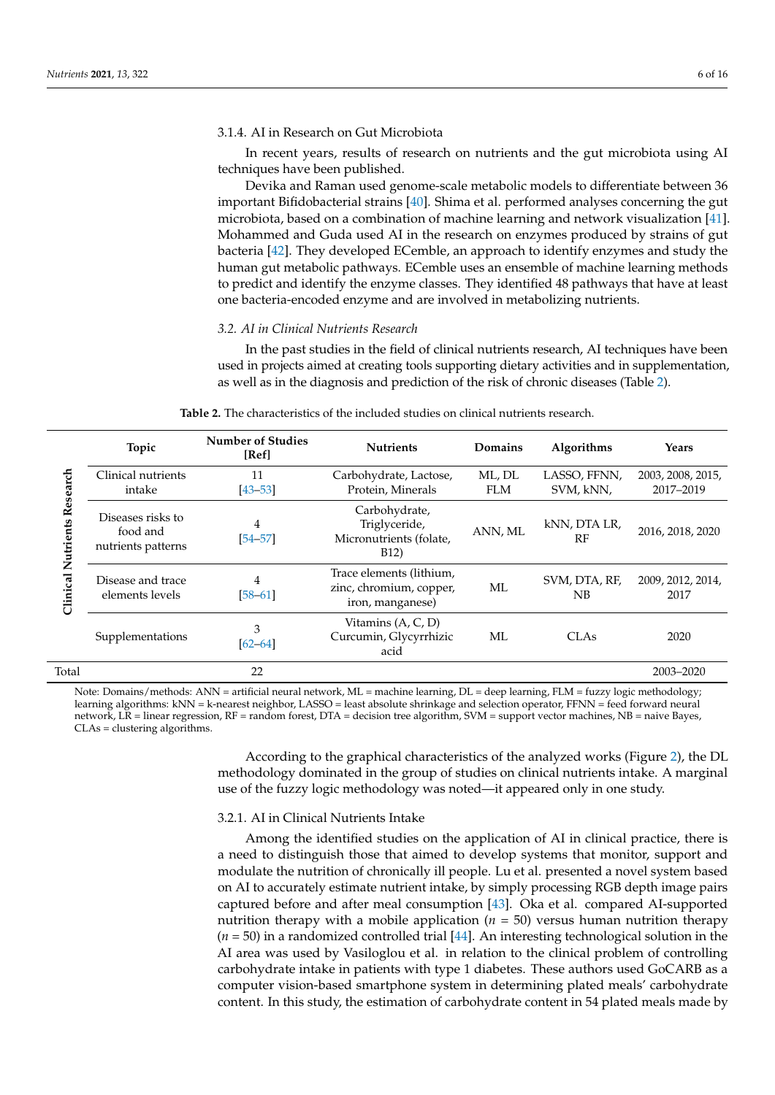#### 3.1.4. AI in Research on Gut Microbiota

In recent years, results of research on nutrients and the gut microbiota using AI techniques have been published.

Devika and Raman used genome-scale metabolic models to differentiate between 36 important Bifidobacterial strains [\[40\]](#page-13-7). Shima et al. performed analyses concerning the gut microbiota, based on a combination of machine learning and network visualization [\[41\]](#page-13-20). Mohammed and Guda used AI in the research on enzymes produced by strains of gut bacteria [\[42\]](#page-13-8). They developed ECemble, an approach to identify enzymes and study the human gut metabolic pathways. ECemble uses an ensemble of machine learning methods to predict and identify the enzyme classes. They identified 48 pathways that have at least one bacteria-encoded enzyme and are involved in metabolizing nutrients.

#### *3.2. AI in Clinical Nutrients Research*

In the past studies in the field of clinical nutrients research, AI techniques have been used in projects aimed at creating tools supporting dietary activities and in supplementation, as well as in the diagnosis and prediction of the risk of chronic diseases (Table [2\)](#page-5-0).

<span id="page-5-0"></span>

| Research<br>Nutrients<br>Clinical | Topic                                               | <b>Number of Studies</b><br>[Ref] | <b>Nutrients</b>                                                               | Domains              | <b>Algorithms</b>         | Years                          |
|-----------------------------------|-----------------------------------------------------|-----------------------------------|--------------------------------------------------------------------------------|----------------------|---------------------------|--------------------------------|
|                                   | Clinical nutrients<br>intake                        | 11<br>$[43 - 53]$                 | Carbohydrate, Lactose,<br>Protein, Minerals                                    | ML, DL<br><b>FLM</b> | LASSO, FFNN,<br>SVM, kNN, | 2003, 2008, 2015,<br>2017-2019 |
|                                   | Diseases risks to<br>food and<br>nutrients patterns | 4<br>$[54 - 57]$                  | Carbohydrate,<br>Triglyceride,<br>Micronutrients (folate,<br>B <sub>12</sub> ) | ANN. ML              | kNN, DTA LR,<br>RF        | 2016, 2018, 2020               |
|                                   | Disease and trace<br>elements levels                | 4<br>$[58 - 61]$                  | Trace elements (lithium,<br>zinc, chromium, copper,<br>iron, manganese)        | МL                   | SVM, DTA, RF,<br>NB       | 2009, 2012, 2014,<br>2017      |
|                                   | Supplementations                                    | 3<br>$[62 - 64]$                  | Vitamins (A, C, D)<br>Curcumin, Glycyrrhizic<br>acid                           | МL                   | CLA <sub>s</sub>          | 2020                           |
| Total                             |                                                     | 22                                |                                                                                |                      |                           | 2003-2020                      |

**Table 2.** The characteristics of the included studies on clinical nutrients research.

Note: Domains/methods: ANN = artificial neural network, ML = machine learning, DL = deep learning, FLM = fuzzy logic methodology; learning algorithms: kNN = k-nearest neighbor, LASSO = least absolute shrinkage and selection operator, FFNN = feed forward neural network, LR = linear regression, RF = random forest, DTA = decision tree algorithm, SVM = support vector machines, NB = naive Bayes, CLAs = clustering algorithms.

> According to the graphical characteristics of the analyzed works (Figure [2\)](#page-10-0), the DL methodology dominated in the group of studies on clinical nutrients intake. A marginal use of the fuzzy logic methodology was noted—it appeared only in one study.

## 3.2.1. AI in Clinical Nutrients Intake

Among the identified studies on the application of AI in clinical practice, there is a need to distinguish those that aimed to develop systems that monitor, support and modulate the nutrition of chronically ill people. Lu et al. presented a novel system based on AI to accurately estimate nutrient intake, by simply processing RGB depth image pairs captured before and after meal consumption [\[43\]](#page-13-21). Oka et al. compared AI-supported nutrition therapy with a mobile application  $(n = 50)$  versus human nutrition therapy (*n* = 50) in a randomized controlled trial [\[44\]](#page-13-22). An interesting technological solution in the AI area was used by Vasiloglou et al. in relation to the clinical problem of controlling carbohydrate intake in patients with type 1 diabetes. These authors used GoCARB as a computer vision-based smartphone system in determining plated meals' carbohydrate content. In this study, the estimation of carbohydrate content in 54 plated meals made by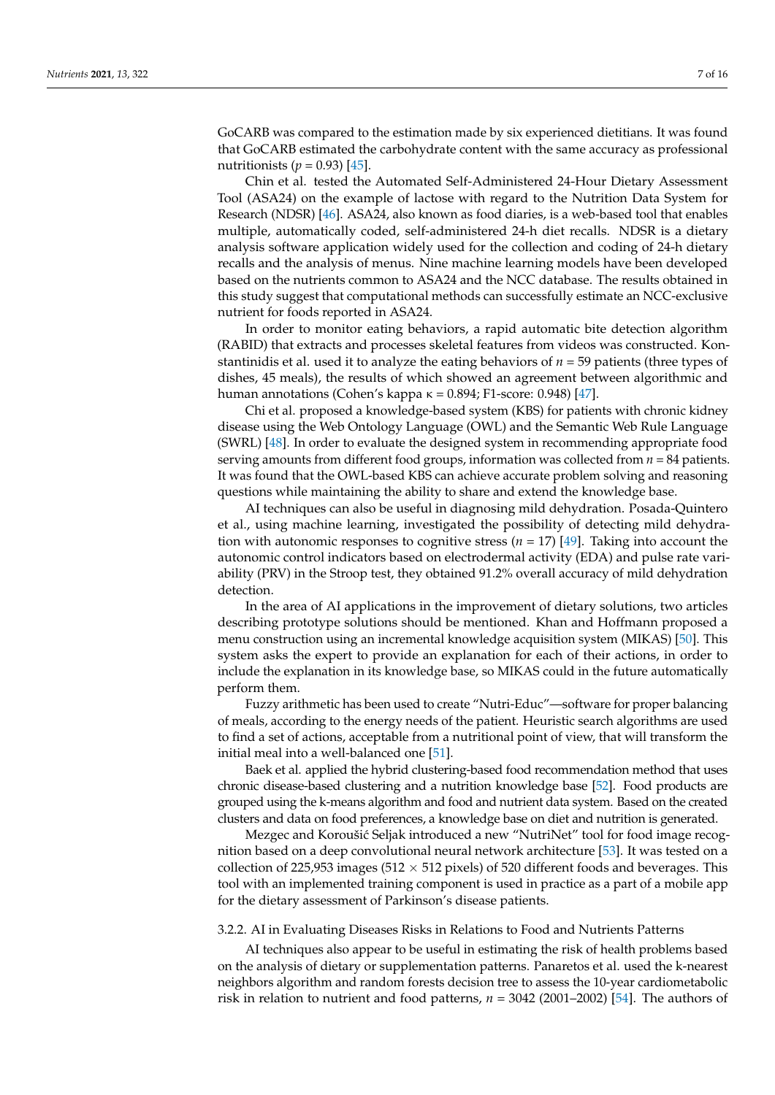GoCARB was compared to the estimation made by six experienced dietitians. It was found that GoCARB estimated the carbohydrate content with the same accuracy as professional nutritionists ( $p = 0.93$ ) [\[45\]](#page-14-7).

Chin et al. tested the Automated Self-Administered 24-Hour Dietary Assessment Tool (ASA24) on the example of lactose with regard to the Nutrition Data System for Research (NDSR) [\[46\]](#page-14-8). ASA24, also known as food diaries, is a web-based tool that enables multiple, automatically coded, self-administered 24-h diet recalls. NDSR is a dietary analysis software application widely used for the collection and coding of 24-h dietary recalls and the analysis of menus. Nine machine learning models have been developed based on the nutrients common to ASA24 and the NCC database. The results obtained in this study suggest that computational methods can successfully estimate an NCC-exclusive nutrient for foods reported in ASA24.

In order to monitor eating behaviors, a rapid automatic bite detection algorithm (RABID) that extracts and processes skeletal features from videos was constructed. Konstantinidis et al. used it to analyze the eating behaviors of *n* = 59 patients (three types of dishes, 45 meals), the results of which showed an agreement between algorithmic and human annotations (Cohen's kappa κ = 0.894; F1-score: 0.948) [\[47\]](#page-14-9).

Chi et al. proposed a knowledge-based system (KBS) for patients with chronic kidney disease using the Web Ontology Language (OWL) and the Semantic Web Rule Language (SWRL) [\[48\]](#page-14-10). In order to evaluate the designed system in recommending appropriate food serving amounts from different food groups, information was collected from *n* = 84 patients. It was found that the OWL-based KBS can achieve accurate problem solving and reasoning questions while maintaining the ability to share and extend the knowledge base.

AI techniques can also be useful in diagnosing mild dehydration. Posada-Quintero et al., using machine learning, investigated the possibility of detecting mild dehydration with autonomic responses to cognitive stress (*n* = 17) [\[49\]](#page-14-11). Taking into account the autonomic control indicators based on electrodermal activity (EDA) and pulse rate variability (PRV) in the Stroop test, they obtained 91.2% overall accuracy of mild dehydration detection.

In the area of AI applications in the improvement of dietary solutions, two articles describing prototype solutions should be mentioned. Khan and Hoffmann proposed a menu construction using an incremental knowledge acquisition system (MIKAS) [\[50\]](#page-14-12). This system asks the expert to provide an explanation for each of their actions, in order to include the explanation in its knowledge base, so MIKAS could in the future automatically perform them.

Fuzzy arithmetic has been used to create "Nutri-Educ"—software for proper balancing of meals, according to the energy needs of the patient. Heuristic search algorithms are used to find a set of actions, acceptable from a nutritional point of view, that will transform the initial meal into a well-balanced one [\[51\]](#page-14-13).

Baek et al. applied the hybrid clustering-based food recommendation method that uses chronic disease-based clustering and a nutrition knowledge base [\[52\]](#page-14-14). Food products are grouped using the k-means algorithm and food and nutrient data system. Based on the created clusters and data on food preferences, a knowledge base on diet and nutrition is generated.

Mezgec and Koroušić Seljak introduced a new "NutriNet" tool for food image recognition based on a deep convolutional neural network architecture [\[53\]](#page-14-0). It was tested on a collection of 225,953 images (512  $\times$  512 pixels) of 520 different foods and beverages. This tool with an implemented training component is used in practice as a part of a mobile app for the dietary assessment of Parkinson's disease patients.

## 3.2.2. AI in Evaluating Diseases Risks in Relations to Food and Nutrients Patterns

AI techniques also appear to be useful in estimating the risk of health problems based on the analysis of dietary or supplementation patterns. Panaretos et al. used the k-nearest neighbors algorithm and random forests decision tree to assess the 10-year cardiometabolic risk in relation to nutrient and food patterns, *n* = 3042 (2001–2002) [\[54\]](#page-14-1). The authors of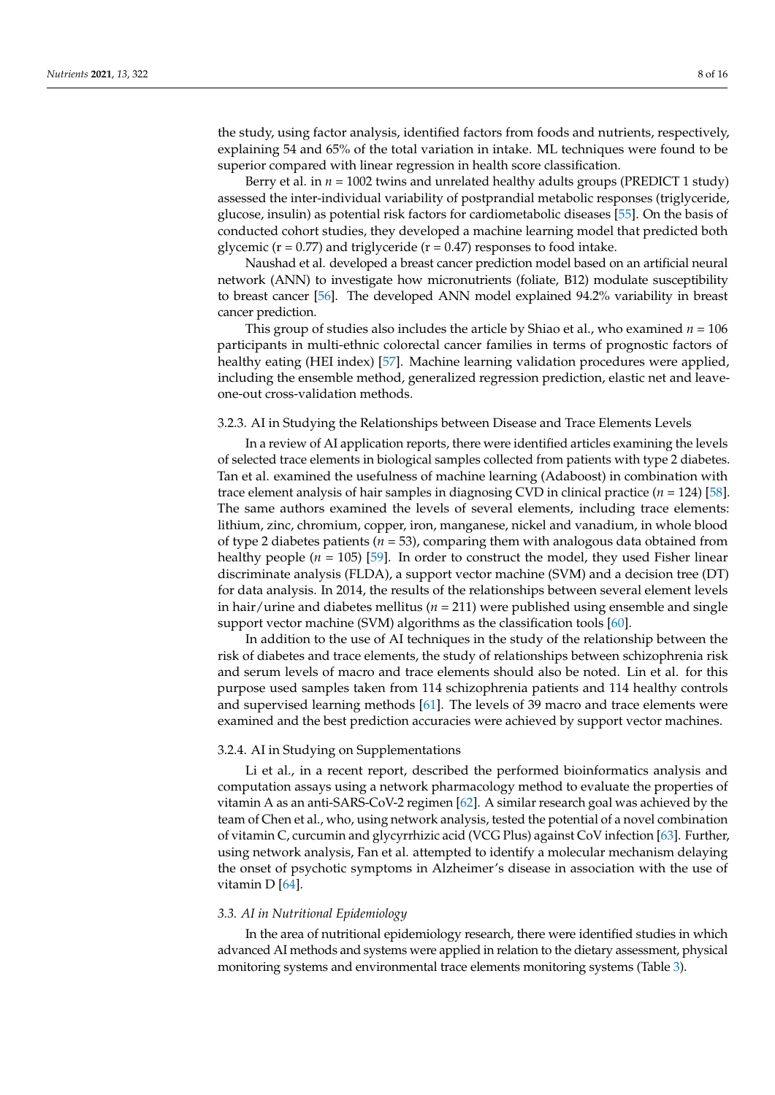the study, using factor analysis, identified factors from foods and nutrients, respectively, explaining 54 and 65% of the total variation in intake. ML techniques were found to be superior compared with linear regression in health score classification.

Berry et al. in  $n = 1002$  twins and unrelated healthy adults groups (PREDICT 1 study) assessed the inter-individual variability of postprandial metabolic responses (triglyceride, glucose, insulin) as potential risk factors for cardiometabolic diseases [\[55\]](#page-14-15). On the basis of conducted cohort studies, they developed a machine learning model that predicted both glycemic ( $r = 0.77$ ) and triglyceride ( $r = 0.47$ ) responses to food intake.

Naushad et al. developed a breast cancer prediction model based on an artificial neural network (ANN) to investigate how micronutrients (foliate, B12) modulate susceptibility to breast cancer [\[56\]](#page-14-16). The developed ANN model explained 94.2% variability in breast cancer prediction.

This group of studies also includes the article by Shiao et al., who examined  $n = 106$ participants in multi-ethnic colorectal cancer families in terms of prognostic factors of healthy eating (HEI index) [\[57\]](#page-14-2). Machine learning validation procedures were applied, including the ensemble method, generalized regression prediction, elastic net and leaveone-out cross-validation methods.

## 3.2.3. AI in Studying the Relationships between Disease and Trace Elements Levels

In a review of AI application reports, there were identified articles examining the levels of selected trace elements in biological samples collected from patients with type 2 diabetes. Tan et al. examined the usefulness of machine learning (Adaboost) in combination with trace element analysis of hair samples in diagnosing CVD in clinical practice (*n* = 124) [\[58\]](#page-14-3). The same authors examined the levels of several elements, including trace elements: lithium, zinc, chromium, copper, iron, manganese, nickel and vanadium, in whole blood of type 2 diabetes patients (*n* = 53), comparing them with analogous data obtained from healthy people  $(n = 105)$  [\[59\]](#page-14-17). In order to construct the model, they used Fisher linear discriminate analysis (FLDA), a support vector machine (SVM) and a decision tree (DT) for data analysis. In 2014, the results of the relationships between several element levels in hair/urine and diabetes mellitus ( $n = 211$ ) were published using ensemble and single support vector machine (SVM) algorithms as the classification tools [\[60\]](#page-14-18).

In addition to the use of AI techniques in the study of the relationship between the risk of diabetes and trace elements, the study of relationships between schizophrenia risk and serum levels of macro and trace elements should also be noted. Lin et al. for this purpose used samples taken from 114 schizophrenia patients and 114 healthy controls and supervised learning methods [\[61\]](#page-14-4). The levels of 39 macro and trace elements were examined and the best prediction accuracies were achieved by support vector machines.

#### 3.2.4. AI in Studying on Supplementations

Li et al., in a recent report, described the performed bioinformatics analysis and computation assays using a network pharmacology method to evaluate the properties of vitamin A as an anti-SARS-CoV-2 regimen [\[62\]](#page-14-5). A similar research goal was achieved by the team of Chen et al., who, using network analysis, tested the potential of a novel combination of vitamin C, curcumin and glycyrrhizic acid (VCG Plus) against CoV infection [\[63\]](#page-14-19). Further, using network analysis, Fan et al. attempted to identify a molecular mechanism delaying the onset of psychotic symptoms in Alzheimer's disease in association with the use of vitamin D [\[64\]](#page-14-6).

## *3.3. AI in Nutritional Epidemiology*

In the area of nutritional epidemiology research, there were identified studies in which advanced AI methods and systems were applied in relation to the dietary assessment, physical monitoring systems and environmental trace elements monitoring systems (Table [3\)](#page-8-0).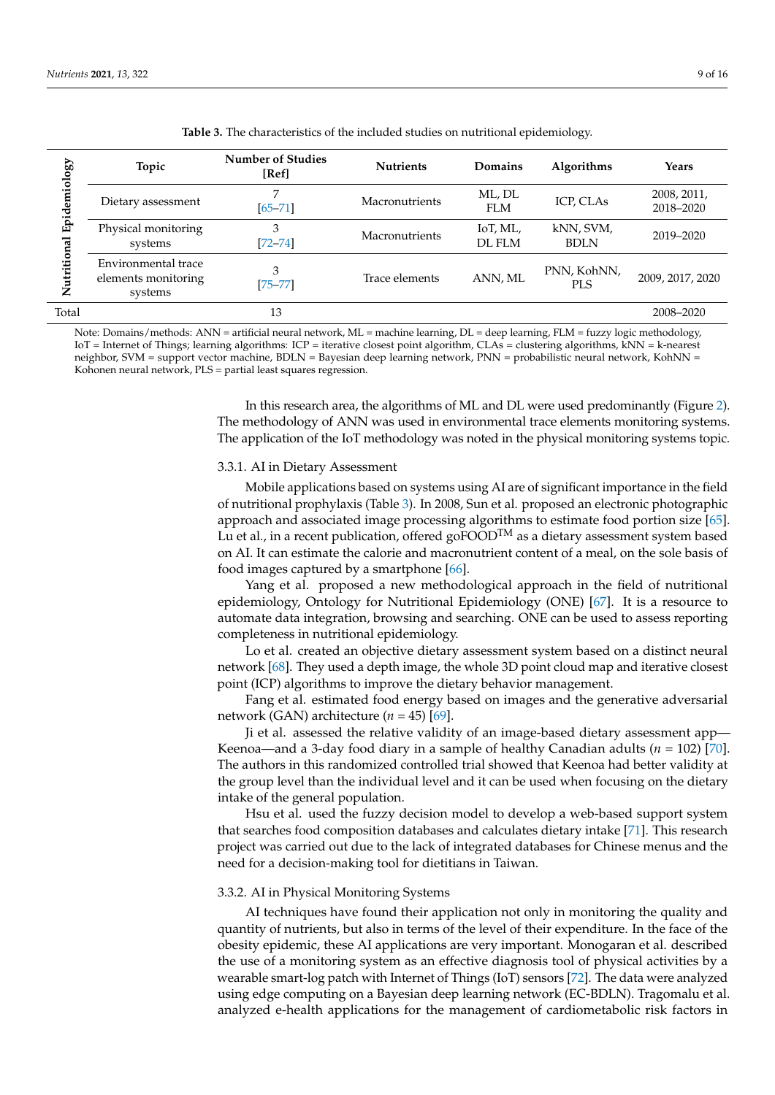<span id="page-8-0"></span>

| tiology<br>Epider<br>Nutritional | Topic                                                 | <b>Number of Studies</b><br>[Ref] | <b>Nutrients</b> | Domains              | <b>Algorithms</b>         | <b>Years</b>             |
|----------------------------------|-------------------------------------------------------|-----------------------------------|------------------|----------------------|---------------------------|--------------------------|
|                                  | Dietary assessment                                    | ⇁<br>$[65 - 71]$                  | Macronutrients   | ML, DL<br><b>FLM</b> | ICP, CLAs                 | 2008, 2011,<br>2018-2020 |
|                                  | Physical monitoring<br>systems                        | 3<br>$[72 - 74]$                  | Macronutrients   | IoT, ML,<br>DL FLM   | kNN, SVM,<br><b>BDLN</b>  | 2019-2020                |
|                                  | Environmental trace<br>elements monitoring<br>systems | 3<br>$[75 - 77]$                  | Trace elements   | ANN, ML              | PNN, KohNN,<br><b>PLS</b> | 2009, 2017, 2020         |
| Total                            |                                                       | 13                                |                  |                      |                           | 2008-2020                |

**Table 3.** The characteristics of the included studies on nutritional epidemiology.

Note: Domains/methods: ANN = artificial neural network, ML = machine learning, DL = deep learning, FLM = fuzzy logic methodology, IoT = Internet of Things; learning algorithms: ICP = iterative closest point algorithm, CLAs = clustering algorithms, kNN = k-nearest neighbor, SVM = support vector machine, BDLN = Bayesian deep learning network, PNN = probabilistic neural network, KohNN = Kohonen neural network, PLS = partial least squares regression.

> In this research area, the algorithms of ML and DL were used predominantly (Figure [2\)](#page-10-0). The methodology of ANN was used in environmental trace elements monitoring systems. The application of the IoT methodology was noted in the physical monitoring systems topic.

#### 3.3.1. AI in Dietary Assessment

Mobile applications based on systems using AI are of significant importance in the field of nutritional prophylaxis (Table [3\)](#page-8-0). In 2008, Sun et al. proposed an electronic photographic approach and associated image processing algorithms to estimate food portion size [\[65\]](#page-14-20). Lu et al., in a recent publication, offered  $g \circ F OOD^{TM}$  as a dietary assessment system based on AI. It can estimate the calorie and macronutrient content of a meal, on the sole basis of food images captured by a smartphone  $[66]$ .

Yang et al. proposed a new methodological approach in the field of nutritional epidemiology, Ontology for Nutritional Epidemiology (ONE) [\[67\]](#page-14-22). It is a resource to automate data integration, browsing and searching. ONE can be used to assess reporting completeness in nutritional epidemiology.

Lo et al. created an objective dietary assessment system based on a distinct neural network [\[68\]](#page-14-23). They used a depth image, the whole 3D point cloud map and iterative closest point (ICP) algorithms to improve the dietary behavior management.

Fang et al. estimated food energy based on images and the generative adversarial network (GAN) architecture  $(n = 45)$  [\[69\]](#page-14-24).

Ji et al. assessed the relative validity of an image-based dietary assessment app— Keenoa—and a 3-day food diary in a sample of healthy Canadian adults ( $n = 102$ ) [\[70\]](#page-14-25). The authors in this randomized controlled trial showed that Keenoa had better validity at the group level than the individual level and it can be used when focusing on the dietary intake of the general population.

Hsu et al. used the fuzzy decision model to develop a web-based support system that searches food composition databases and calculates dietary intake [\[71\]](#page-15-0). This research project was carried out due to the lack of integrated databases for Chinese menus and the need for a decision-making tool for dietitians in Taiwan.

#### 3.3.2. AI in Physical Monitoring Systems

AI techniques have found their application not only in monitoring the quality and quantity of nutrients, but also in terms of the level of their expenditure. In the face of the obesity epidemic, these AI applications are very important. Monogaran et al. described the use of a monitoring system as an effective diagnosis tool of physical activities by a wearable smart-log patch with Internet of Things (IoT) sensors [\[72\]](#page-15-1). The data were analyzed using edge computing on a Bayesian deep learning network (EC-BDLN). Tragomalu et al. analyzed e-health applications for the management of cardiometabolic risk factors in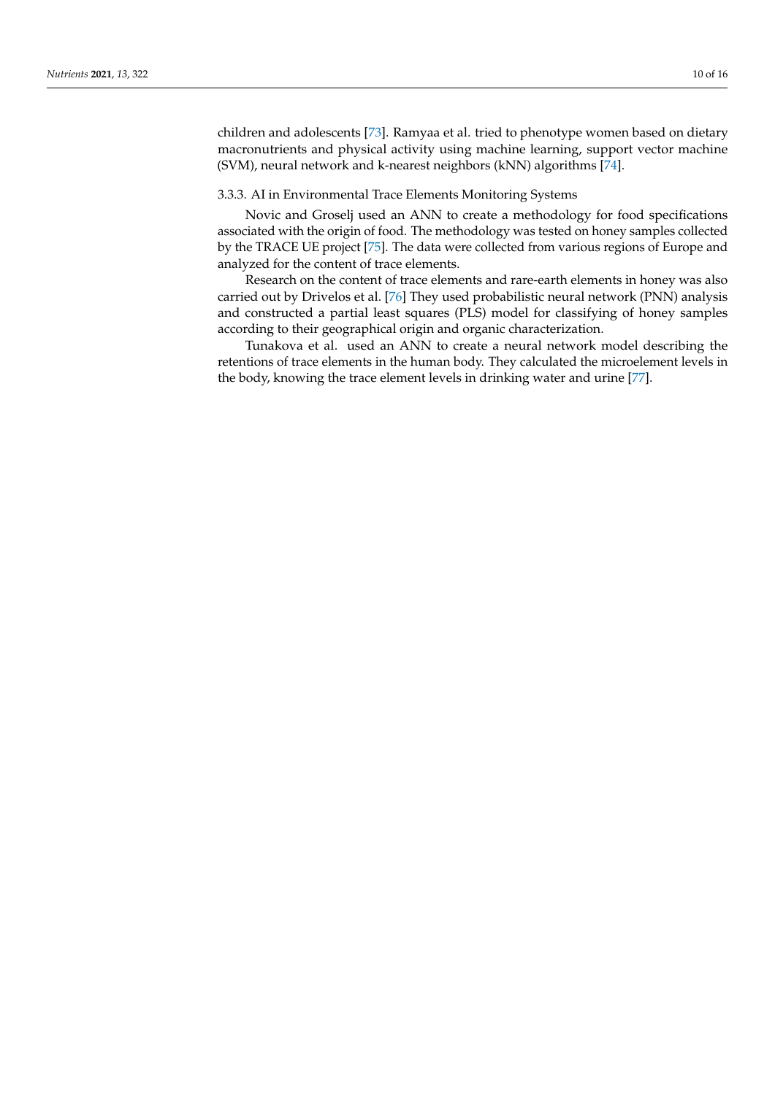children and adolescents [\[73\]](#page-15-5). Ramyaa et al. tried to phenotype women based on dietary macronutrients and physical activity using machine learning, support vector machine (SVM), neural network and k-nearest neighbors (kNN) algorithms [\[74\]](#page-15-2).

#### 3.3.3. AI in Environmental Trace Elements Monitoring Systems

Novic and Groselj used an ANN to create a methodology for food specifications associated with the origin of food. The methodology was tested on honey samples collected by the TRACE UE project [\[75\]](#page-15-3). The data were collected from various regions of Europe and analyzed for the content of trace elements.

Research on the content of trace elements and rare-earth elements in honey was also carried out by Drivelos et al. [\[76\]](#page-15-6) They used probabilistic neural network (PNN) analysis and constructed a partial least squares (PLS) model for classifying of honey samples according to their geographical origin and organic characterization.

Tunakova et al. used an ANN to create a neural network model describing the retentions of trace elements in the human body. They calculated the microelement levels in the body, knowing the trace element levels in drinking water and urine [\[77\]](#page-15-4).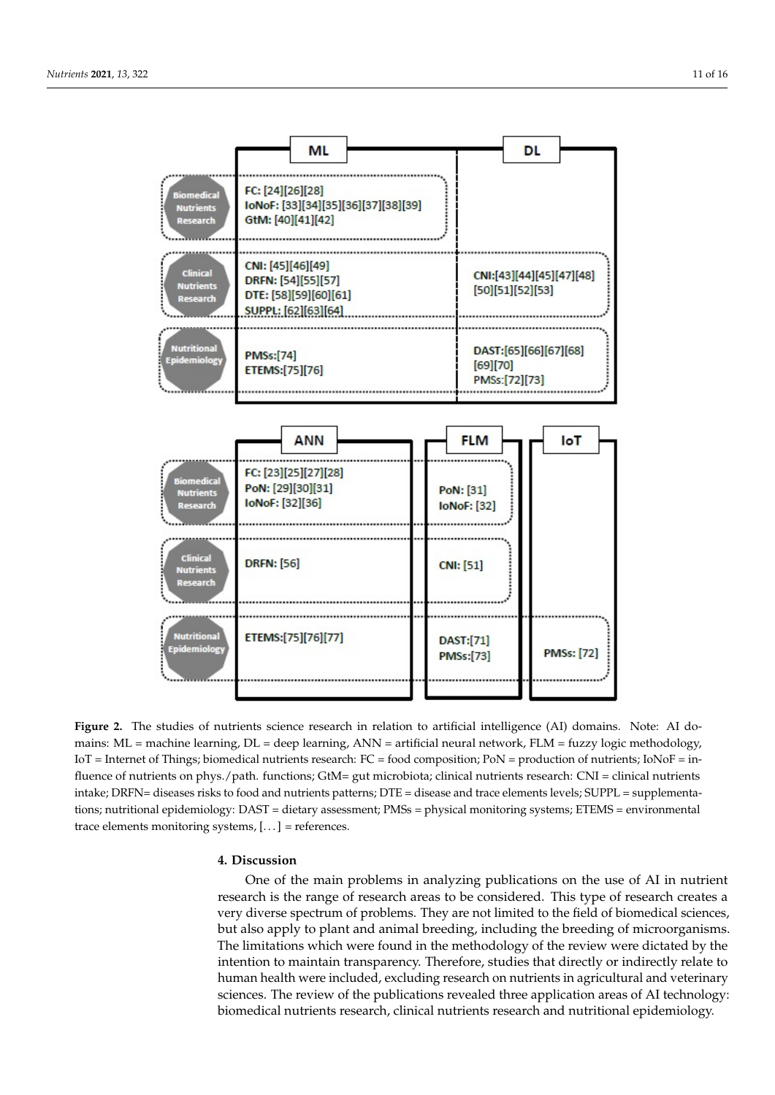<span id="page-10-0"></span>

Figure 2. The studies of nutrients science research in relation to artificial intelligence (AI) domains. Note: AI domains: ML = machine learning, DL = deep learning, ANN = artificial neural network, FLM = fuzzy logic methodology, IoT = Internet of Things; biomedical nutrients research: FC = food composition; PoN = production of nutrients; IoNoF = influence of nutrients on phys./path. functions; GtM= gut microbiota; clinical nutrients research: CNI = clinical nutrients intake; DRFN= diseases risks to food and nutrients patterns; DTE = disease and trace elements levels; SUPPL = supplementa- $\alpha$ . DAST = distant according to  $PMC =$  physical maniforms; suppose  $ETEMC =$  or  $\alpha$ tions; nutritional epidemiology: DAST = dietary assessment; PMSs = physical monitoring systems; ETEMS = environmental<br>.  $s_{\text{S}}$ uris,  $\left[\ldots\right]$  = references. trace elements monitoring systems,  $[...]$  = references.

# **4. Discussion 4. Discussion**

One of the main problems in analyzing publications on the use of AI in nutrient  $\frac{1}{\sqrt{2}}$ search is the range of research areas to be considered. This type of research creates a very very diverse spectrum of problems. They are not limited to the field of biomedical sciences, very diverse spectrum or problems. They are not limited to the field of biomedical sciences, but also apply to plant and animal breeding, including the breeding of microorganisms. also apply to plant and animal breeding, including the breeding of microorganisms. The The limitations which were found in the methodology of the review were dictated by the limitations which were found in the methodology of the review were dictated by the in-intention to maintain transparency. Therefore, studies that directly or indirectly relate to tention to maintain transparency. Therefore, studies that directly or indirectly relate to human health were included, excluding research on nutrients in agricultural and veterinary human health were included, excluding research on nutrients in agricultural and veteri-sciences. The review of the publications revealed three application areas of AI technology: research is the range of research areas to be considered. This type of research creates a biomedical nutrients research, clinical nutrients research and nutritional epidemiology.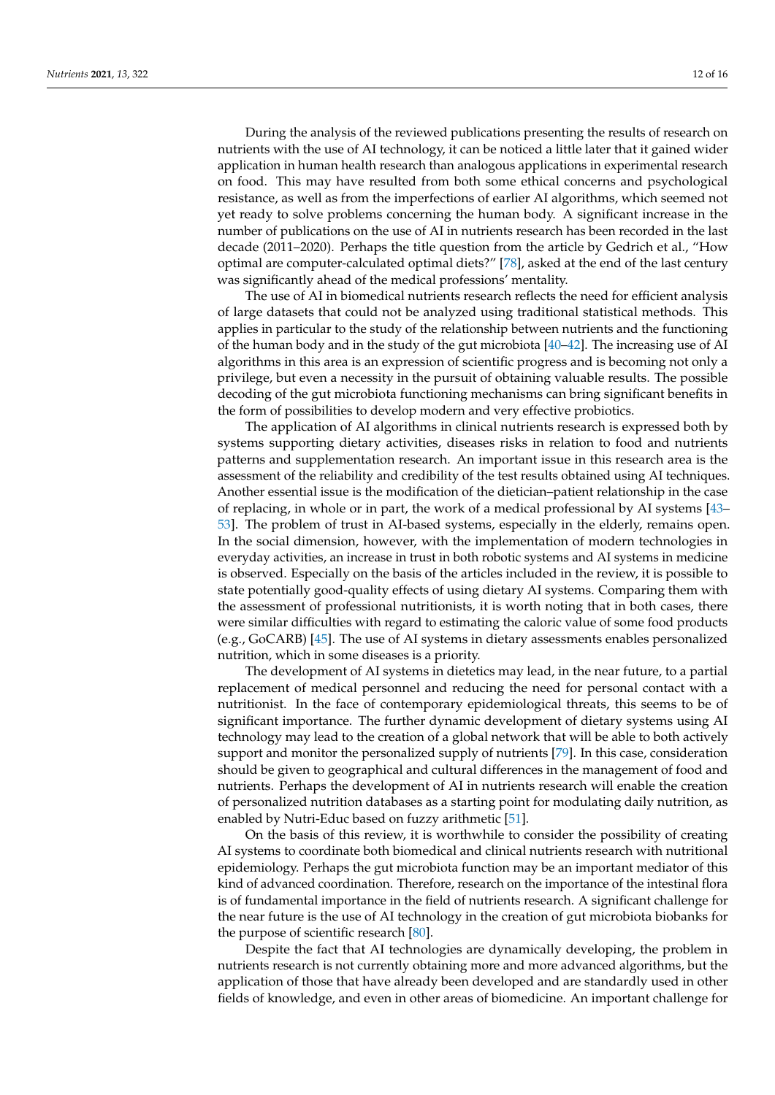During the analysis of the reviewed publications presenting the results of research on nutrients with the use of AI technology, it can be noticed a little later that it gained wider application in human health research than analogous applications in experimental research on food. This may have resulted from both some ethical concerns and psychological resistance, as well as from the imperfections of earlier AI algorithms, which seemed not yet ready to solve problems concerning the human body. A significant increase in the number of publications on the use of AI in nutrients research has been recorded in the last decade (2011–2020). Perhaps the title question from the article by Gedrich et al., "How optimal are computer-calculated optimal diets?" [\[78\]](#page-15-7), asked at the end of the last century was significantly ahead of the medical professions' mentality.

The use of AI in biomedical nutrients research reflects the need for efficient analysis of large datasets that could not be analyzed using traditional statistical methods. This applies in particular to the study of the relationship between nutrients and the functioning of the human body and in the study of the gut microbiota [\[40](#page-13-7)[–42\]](#page-13-8). The increasing use of AI algorithms in this area is an expression of scientific progress and is becoming not only a privilege, but even a necessity in the pursuit of obtaining valuable results. The possible decoding of the gut microbiota functioning mechanisms can bring significant benefits in the form of possibilities to develop modern and very effective probiotics.

The application of AI algorithms in clinical nutrients research is expressed both by systems supporting dietary activities, diseases risks in relation to food and nutrients patterns and supplementation research. An important issue in this research area is the assessment of the reliability and credibility of the test results obtained using AI techniques. Another essential issue is the modification of the dietician–patient relationship in the case of replacing, in whole or in part, the work of a medical professional by AI systems [\[43–](#page-13-21) [53\]](#page-14-0). The problem of trust in AI-based systems, especially in the elderly, remains open. In the social dimension, however, with the implementation of modern technologies in everyday activities, an increase in trust in both robotic systems and AI systems in medicine is observed. Especially on the basis of the articles included in the review, it is possible to state potentially good-quality effects of using dietary AI systems. Comparing them with the assessment of professional nutritionists, it is worth noting that in both cases, there were similar difficulties with regard to estimating the caloric value of some food products (e.g., GoCARB) [\[45\]](#page-14-7). The use of AI systems in dietary assessments enables personalized nutrition, which in some diseases is a priority.

The development of AI systems in dietetics may lead, in the near future, to a partial replacement of medical personnel and reducing the need for personal contact with a nutritionist. In the face of contemporary epidemiological threats, this seems to be of significant importance. The further dynamic development of dietary systems using AI technology may lead to the creation of a global network that will be able to both actively support and monitor the personalized supply of nutrients [\[79\]](#page-15-8). In this case, consideration should be given to geographical and cultural differences in the management of food and nutrients. Perhaps the development of AI in nutrients research will enable the creation of personalized nutrition databases as a starting point for modulating daily nutrition, as enabled by Nutri-Educ based on fuzzy arithmetic [\[51\]](#page-14-13).

On the basis of this review, it is worthwhile to consider the possibility of creating AI systems to coordinate both biomedical and clinical nutrients research with nutritional epidemiology. Perhaps the gut microbiota function may be an important mediator of this kind of advanced coordination. Therefore, research on the importance of the intestinal flora is of fundamental importance in the field of nutrients research. A significant challenge for the near future is the use of AI technology in the creation of gut microbiota biobanks for the purpose of scientific research [\[80\]](#page-15-9).

Despite the fact that AI technologies are dynamically developing, the problem in nutrients research is not currently obtaining more and more advanced algorithms, but the application of those that have already been developed and are standardly used in other fields of knowledge, and even in other areas of biomedicine. An important challenge for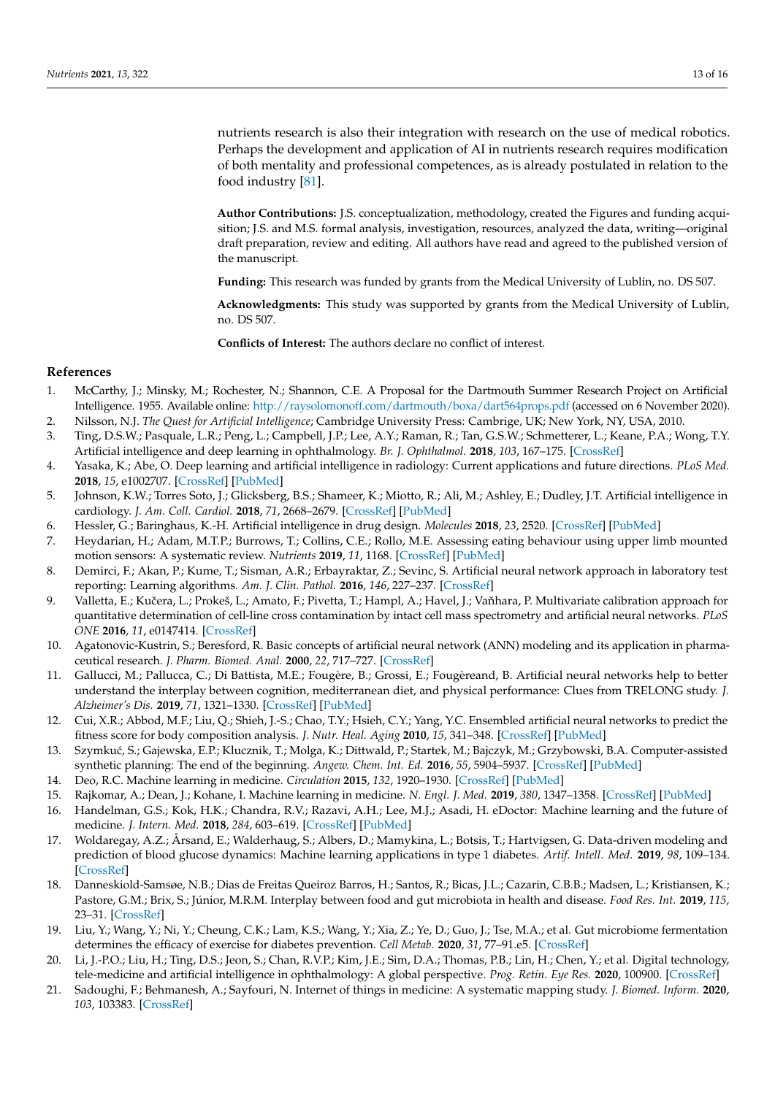nutrients research is also their integration with research on the use of medical robotics. Perhaps the development and application of AI in nutrients research requires modification of both mentality and professional competences, as is already postulated in relation to the food industry [\[81\]](#page-15-10).

**Author Contributions:** J.S. conceptualization, methodology, created the Figures and funding acquisition; J.S. and M.S. formal analysis, investigation, resources, analyzed the data, writing—original draft preparation, review and editing. All authors have read and agreed to the published version of the manuscript.

**Funding:** This research was funded by grants from the Medical University of Lublin, no. DS 507.

**Acknowledgments:** This study was supported by grants from the Medical University of Lublin, no. DS 507.

**Conflicts of Interest:** The authors declare no conflict of interest.

## **References**

- <span id="page-12-0"></span>1. McCarthy, J.; Minsky, M.; Rochester, N.; Shannon, C.E. A Proposal for the Dartmouth Summer Research Project on Artificial Intelligence. 1955. Available online: <http://raysolomonoff.com/dartmouth/boxa/dart564props.pdf> (accessed on 6 November 2020).
- <span id="page-12-1"></span>2. Nilsson, N.J. *The Quest for Artificial Intelligence*; Cambridge University Press: Cambrige, UK; New York, NY, USA, 2010.
- <span id="page-12-2"></span>3. Ting, D.S.W.; Pasquale, L.R.; Peng, L.; Campbell, J.P.; Lee, A.Y.; Raman, R.; Tan, G.S.W.; Schmetterer, L.; Keane, P.A.; Wong, T.Y. Artificial intelligence and deep learning in ophthalmology. *Br. J. Ophthalmol.* **2018**, *103*, 167–175. [\[CrossRef\]](http://doi.org/10.1136/bjophthalmol-2018-313173)
- <span id="page-12-3"></span>4. Yasaka, K.; Abe, O. Deep learning and artificial intelligence in radiology: Current applications and future directions. *PLoS Med.* **2018**, *15*, e1002707. [\[CrossRef\]](http://doi.org/10.1371/journal.pmed.1002707) [\[PubMed\]](http://www.ncbi.nlm.nih.gov/pubmed/30500815)
- <span id="page-12-4"></span>5. Johnson, K.W.; Torres Soto, J.; Glicksberg, B.S.; Shameer, K.; Miotto, R.; Ali, M.; Ashley, E.; Dudley, J.T. Artificial intelligence in cardiology. *J. Am. Coll. Cardiol.* **2018**, *71*, 2668–2679. [\[CrossRef\]](http://doi.org/10.1016/j.jacc.2018.03.521) [\[PubMed\]](http://www.ncbi.nlm.nih.gov/pubmed/29880128)
- <span id="page-12-5"></span>6. Hessler, G.; Baringhaus, K.-H. Artificial intelligence in drug design. *Molecules* **2018**, *23*, 2520. [\[CrossRef\]](http://doi.org/10.3390/molecules23102520) [\[PubMed\]](http://www.ncbi.nlm.nih.gov/pubmed/30279331)
- <span id="page-12-6"></span>7. Heydarian, H.; Adam, M.T.P.; Burrows, T.; Collins, C.E.; Rollo, M.E. Assessing eating behaviour using upper limb mounted motion sensors: A systematic review. *Nutrients* **2019**, *11*, 1168. [\[CrossRef\]](http://doi.org/10.3390/nu11051168) [\[PubMed\]](http://www.ncbi.nlm.nih.gov/pubmed/31137677)
- <span id="page-12-7"></span>8. Demirci, F.; Akan, P.; Kume, T.; Sisman, A.R.; Erbayraktar, Z.; Sevinc, S. Artificial neural network approach in laboratory test reporting: Learning algorithms. *Am. J. Clin. Pathol.* **2016**, *146*, 227–237. [\[CrossRef\]](http://doi.org/10.1093/ajcp/aqw104)
- <span id="page-12-8"></span>9. Valletta, E.; Kučera, L.; Prokeš, L.; Amato, F.; Pivetta, T.; Hampl, A.; Havel, J.; Vaňhara, P. Multivariate calibration approach for quantitative determination of cell-line cross contamination by intact cell mass spectrometry and artificial neural networks. *PLoS ONE* **2016**, *11*, e0147414. [\[CrossRef\]](http://doi.org/10.1371/journal.pone.0147414)
- <span id="page-12-9"></span>10. Agatonovic-Kustrin, S.; Beresford, R. Basic concepts of artificial neural network (ANN) modeling and its application in pharmaceutical research. *J. Pharm. Biomed. Anal.* **2000**, *22*, 717–727. [\[CrossRef\]](http://doi.org/10.1016/S0731-7085(99)00272-1)
- <span id="page-12-10"></span>11. Gallucci, M.; Pallucca, C.; Di Battista, M.E.; Fougère, B.; Grossi, E.; Fougèreand, B. Artificial neural networks help to better understand the interplay between cognition, mediterranean diet, and physical performance: Clues from TRELONG study. *J. Alzheimer's Dis.* **2019**, *71*, 1321–1330. [\[CrossRef\]](http://doi.org/10.3233/JAD-190609) [\[PubMed\]](http://www.ncbi.nlm.nih.gov/pubmed/31524170)
- <span id="page-12-11"></span>12. Cui, X.R.; Abbod, M.F.; Liu, Q.; Shieh, J.-S.; Chao, T.Y.; Hsieh, C.Y.; Yang, Y.C. Ensembled artificial neural networks to predict the fitness score for body composition analysis. *J. Nutr. Heal. Aging* **2010**, *15*, 341–348. [\[CrossRef\]](http://doi.org/10.1007/s12603-010-0260-1) [\[PubMed\]](http://www.ncbi.nlm.nih.gov/pubmed/21528159)
- <span id="page-12-12"></span>13. Szymkuć, S.; Gajewska, E.P.; Klucznik, T.; Molga, K.; Dittwald, P.; Startek, M.; Bajczyk, M.; Grzybowski, B.A. Computer-assisted synthetic planning: The end of the beginning. *Angew. Chem. Int. Ed.* **2016**, *55*, 5904–5937. [\[CrossRef\]](http://doi.org/10.1002/anie.201506101) [\[PubMed\]](http://www.ncbi.nlm.nih.gov/pubmed/27062365)
- <span id="page-12-13"></span>14. Deo, R.C. Machine learning in medicine. *Circulation* **2015**, *132*, 1920–1930. [\[CrossRef\]](http://doi.org/10.1161/CIRCULATIONAHA.115.001593) [\[PubMed\]](http://www.ncbi.nlm.nih.gov/pubmed/26572668)
- <span id="page-12-14"></span>15. Rajkomar, A.; Dean, J.; Kohane, I. Machine learning in medicine. *N. Engl. J. Med.* **2019**, *380*, 1347–1358. [\[CrossRef\]](http://doi.org/10.1056/NEJMra1814259) [\[PubMed\]](http://www.ncbi.nlm.nih.gov/pubmed/30943338)
- <span id="page-12-15"></span>16. Handelman, G.S.; Kok, H.K.; Chandra, R.V.; Razavi, A.H.; Lee, M.J.; Asadi, H. eDoctor: Machine learning and the future of medicine. *J. Intern. Med.* **2018**, *284*, 603–619. [\[CrossRef\]](http://doi.org/10.1111/joim.12822) [\[PubMed\]](http://www.ncbi.nlm.nih.gov/pubmed/30102808)
- <span id="page-12-16"></span>17. Woldaregay, A.Z.; Årsand, E.; Walderhaug, S.; Albers, D.; Mamykina, L.; Botsis, T.; Hartvigsen, G. Data-driven modeling and prediction of blood glucose dynamics: Machine learning applications in type 1 diabetes. *Artif. Intell. Med.* **2019**, *98*, 109–134. [\[CrossRef\]](http://doi.org/10.1016/j.artmed.2019.07.007)
- <span id="page-12-17"></span>18. Danneskiold-Samsøe, N.B.; Dias de Freitas Queiroz Barros, H.; Santos, R.; Bicas, J.L.; Cazarin, C.B.B.; Madsen, L.; Kristiansen, K.; Pastore, G.M.; Brix, S.; Júnior, M.R.M. Interplay between food and gut microbiota in health and disease. *Food Res. Int.* **2019**, *115*, 23–31. [\[CrossRef\]](http://doi.org/10.1016/j.foodres.2018.07.043)
- <span id="page-12-18"></span>19. Liu, Y.; Wang, Y.; Ni, Y.; Cheung, C.K.; Lam, K.S.; Wang, Y.; Xia, Z.; Ye, D.; Guo, J.; Tse, M.A.; et al. Gut microbiome fermentation determines the efficacy of exercise for diabetes prevention. *Cell Metab.* **2020**, *31*, 77–91.e5. [\[CrossRef\]](http://doi.org/10.1016/j.cmet.2019.11.001)
- <span id="page-12-19"></span>20. Li, J.-P.O.; Liu, H.; Ting, D.S.; Jeon, S.; Chan, R.V.P.; Kim, J.E.; Sim, D.A.; Thomas, P.B.; Lin, H.; Chen, Y.; et al. Digital technology, tele-medicine and artificial intelligence in ophthalmology: A global perspective. *Prog. Retin. Eye Res.* **2020**, 100900. [\[CrossRef\]](http://doi.org/10.1016/j.preteyeres.2020.100900)
- <span id="page-12-20"></span>21. Sadoughi, F.; Behmanesh, A.; Sayfouri, N. Internet of things in medicine: A systematic mapping study. *J. Biomed. Inform.* **2020**, *103*, 103383. [\[CrossRef\]](http://doi.org/10.1016/j.jbi.2020.103383)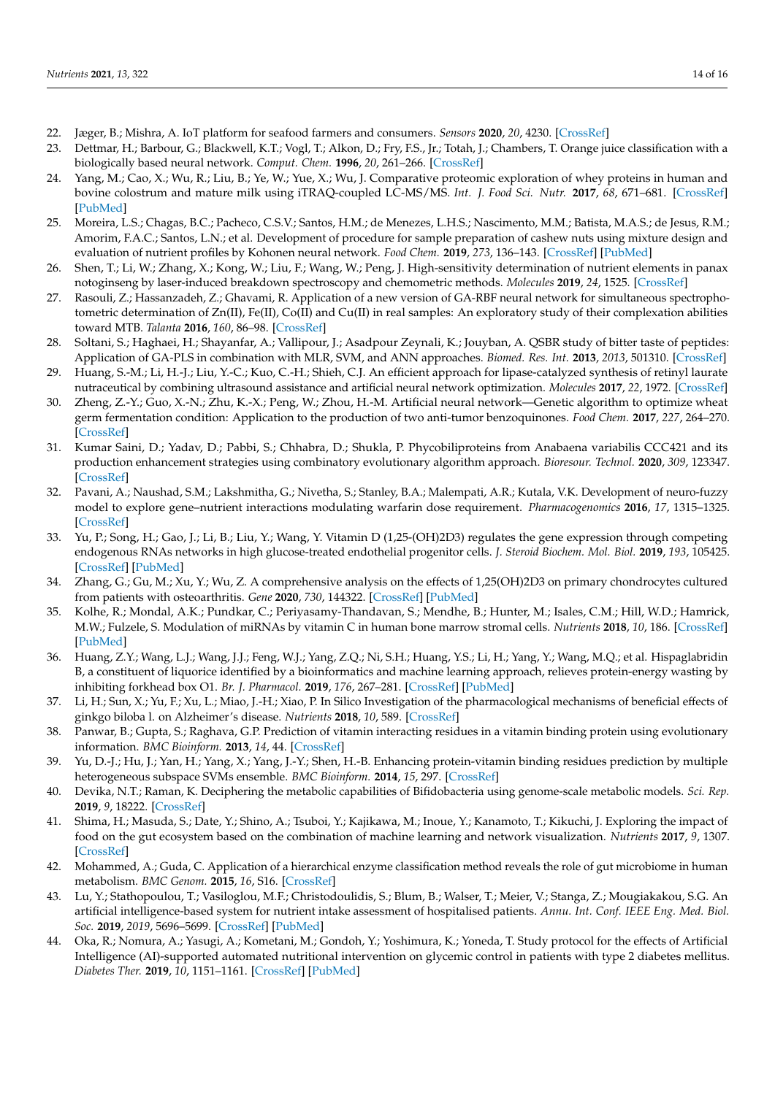- <span id="page-13-0"></span>22. Jæger, B.; Mishra, A. IoT platform for seafood farmers and consumers. *Sensors* **2020**, *20*, 4230. [\[CrossRef\]](http://doi.org/10.3390/s20154230)
- <span id="page-13-1"></span>23. Dettmar, H.; Barbour, G.; Blackwell, K.T.; Vogl, T.; Alkon, D.; Fry, F.S., Jr.; Totah, J.; Chambers, T. Orange juice classification with a biologically based neural network. *Comput. Chem.* **1996**, *20*, 261–266. [\[CrossRef\]](http://doi.org/10.1016/0097-8485(95)00015-1)
- <span id="page-13-9"></span>24. Yang, M.; Cao, X.; Wu, R.; Liu, B.; Ye, W.; Yue, X.; Wu, J. Comparative proteomic exploration of whey proteins in human and bovine colostrum and mature milk using iTRAQ-coupled LC-MS/MS. *Int. J. Food Sci. Nutr.* **2017**, *68*, 671–681. [\[CrossRef\]](http://doi.org/10.1080/09637486.2017.1279129) [\[PubMed\]](http://www.ncbi.nlm.nih.gov/pubmed/28276902)
- <span id="page-13-10"></span>25. Moreira, L.S.; Chagas, B.C.; Pacheco, C.S.V.; Santos, H.M.; de Menezes, L.H.S.; Nascimento, M.M.; Batista, M.A.S.; de Jesus, R.M.; Amorim, F.A.C.; Santos, L.N.; et al. Development of procedure for sample preparation of cashew nuts using mixture design and evaluation of nutrient profiles by Kohonen neural network. *Food Chem.* **2019**, *273*, 136–143. [\[CrossRef\]](http://doi.org/10.1016/j.foodchem.2018.01.050) [\[PubMed\]](http://www.ncbi.nlm.nih.gov/pubmed/30292359)
- <span id="page-13-11"></span>26. Shen, T.; Li, W.; Zhang, X.; Kong, W.; Liu, F.; Wang, W.; Peng, J. High-sensitivity determination of nutrient elements in panax notoginseng by laser-induced breakdown spectroscopy and chemometric methods. *Molecules* **2019**, *24*, 1525. [\[CrossRef\]](http://doi.org/10.3390/molecules24081525)
- <span id="page-13-12"></span>27. Rasouli, Z.; Hassanzadeh, Z.; Ghavami, R. Application of a new version of GA-RBF neural network for simultaneous spectrophotometric determination of Zn(II), Fe(II), Co(II) and Cu(II) in real samples: An exploratory study of their complexation abilities toward MTB. *Talanta* **2016**, *160*, 86–98. [\[CrossRef\]](http://doi.org/10.1016/j.talanta.2016.06.065)
- <span id="page-13-2"></span>28. Soltani, S.; Haghaei, H.; Shayanfar, A.; Vallipour, J.; Asadpour Zeynali, K.; Jouyban, A. QSBR study of bitter taste of peptides: Application of GA-PLS in combination with MLR, SVM, and ANN approaches. *Biomed. Res. Int.* **2013**, *2013*, 501310. [\[CrossRef\]](http://doi.org/10.1155/2013/501310)
- <span id="page-13-3"></span>29. Huang, S.-M.; Li, H.-J.; Liu, Y.-C.; Kuo, C.-H.; Shieh, C.J. An efficient approach for lipase-catalyzed synthesis of retinyl laurate nutraceutical by combining ultrasound assistance and artificial neural network optimization. *Molecules* **2017**, *22*, 1972. [\[CrossRef\]](http://doi.org/10.3390/molecules22111972)
- <span id="page-13-13"></span>30. Zheng, Z.-Y.; Guo, X.-N.; Zhu, K.-X.; Peng, W.; Zhou, H.-M. Artificial neural network—Genetic algorithm to optimize wheat germ fermentation condition: Application to the production of two anti-tumor benzoquinones. *Food Chem.* **2017**, *227*, 264–270. [\[CrossRef\]](http://doi.org/10.1016/j.foodchem.2017.01.077)
- <span id="page-13-4"></span>31. Kumar Saini, D.; Yadav, D.; Pabbi, S.; Chhabra, D.; Shukla, P. Phycobiliproteins from Anabaena variabilis CCC421 and its production enhancement strategies using combinatory evolutionary algorithm approach. *Bioresour. Technol.* **2020**, *309*, 123347. [\[CrossRef\]](http://doi.org/10.1016/j.biortech.2020.123347)
- <span id="page-13-5"></span>32. Pavani, A.; Naushad, S.M.; Lakshmitha, G.; Nivetha, S.; Stanley, B.A.; Malempati, A.R.; Kutala, V.K. Development of neuro-fuzzy model to explore gene–nutrient interactions modulating warfarin dose requirement. *Pharmacogenomics* **2016**, *17*, 1315–1325. [\[CrossRef\]](http://doi.org/10.2217/pgs-2016-0058)
- <span id="page-13-14"></span>33. Yu, P.; Song, H.; Gao, J.; Li, B.; Liu, Y.; Wang, Y. Vitamin D (1,25-(OH)2D3) regulates the gene expression through competing endogenous RNAs networks in high glucose-treated endothelial progenitor cells. *J. Steroid Biochem. Mol. Biol.* **2019**, *193*, 105425. [\[CrossRef\]](http://doi.org/10.1016/j.jsbmb.2019.105425) [\[PubMed\]](http://www.ncbi.nlm.nih.gov/pubmed/31302220)
- <span id="page-13-15"></span>34. Zhang, G.; Gu, M.; Xu, Y.; Wu, Z. A comprehensive analysis on the effects of 1,25(OH)2D3 on primary chondrocytes cultured from patients with osteoarthritis. *Gene* **2020**, *730*, 144322. [\[CrossRef\]](http://doi.org/10.1016/j.gene.2019.144322) [\[PubMed\]](http://www.ncbi.nlm.nih.gov/pubmed/31899303)
- <span id="page-13-16"></span>35. Kolhe, R.; Mondal, A.K.; Pundkar, C.; Periyasamy-Thandavan, S.; Mendhe, B.; Hunter, M.; Isales, C.M.; Hill, W.D.; Hamrick, M.W.; Fulzele, S. Modulation of miRNAs by vitamin C in human bone marrow stromal cells. *Nutrients* **2018**, *10*, 186. [\[CrossRef\]](http://doi.org/10.3390/nu10020186) [\[PubMed\]](http://www.ncbi.nlm.nih.gov/pubmed/29419776)
- <span id="page-13-17"></span>36. Huang, Z.Y.; Wang, L.J.; Wang, J.J.; Feng, W.J.; Yang, Z.Q.; Ni, S.H.; Huang, Y.S.; Li, H.; Yang, Y.; Wang, M.Q.; et al. Hispaglabridin B, a constituent of liquorice identified by a bioinformatics and machine learning approach, relieves protein-energy wasting by inhibiting forkhead box O1. *Br. J. Pharmacol.* **2019**, *176*, 267–281. [\[CrossRef\]](http://doi.org/10.1111/bph.14508) [\[PubMed\]](http://www.ncbi.nlm.nih.gov/pubmed/30270561)
- <span id="page-13-18"></span>37. Li, H.; Sun, X.; Yu, F.; Xu, L.; Miao, J.-H.; Xiao, P. In Silico Investigation of the pharmacological mechanisms of beneficial effects of ginkgo biloba l. on Alzheimer's disease. *Nutrients* **2018**, *10*, 589. [\[CrossRef\]](http://doi.org/10.3390/nu10050589)
- <span id="page-13-19"></span>38. Panwar, B.; Gupta, S.; Raghava, G.P. Prediction of vitamin interacting residues in a vitamin binding protein using evolutionary information. *BMC Bioinform.* **2013**, *14*, 44. [\[CrossRef\]](http://doi.org/10.1186/1471-2105-14-44)
- <span id="page-13-6"></span>39. Yu, D.-J.; Hu, J.; Yan, H.; Yang, X.; Yang, J.-Y.; Shen, H.-B. Enhancing protein-vitamin binding residues prediction by multiple heterogeneous subspace SVMs ensemble. *BMC Bioinform.* **2014**, *15*, 297. [\[CrossRef\]](http://doi.org/10.1186/1471-2105-15-297)
- <span id="page-13-7"></span>40. Devika, N.T.; Raman, K. Deciphering the metabolic capabilities of Bifidobacteria using genome-scale metabolic models. *Sci. Rep.* **2019**, *9*, 18222. [\[CrossRef\]](http://doi.org/10.1038/s41598-019-54696-9)
- <span id="page-13-20"></span>41. Shima, H.; Masuda, S.; Date, Y.; Shino, A.; Tsuboi, Y.; Kajikawa, M.; Inoue, Y.; Kanamoto, T.; Kikuchi, J. Exploring the impact of food on the gut ecosystem based on the combination of machine learning and network visualization. *Nutrients* **2017**, *9*, 1307. [\[CrossRef\]](http://doi.org/10.3390/nu9121307)
- <span id="page-13-8"></span>42. Mohammed, A.; Guda, C. Application of a hierarchical enzyme classification method reveals the role of gut microbiome in human metabolism. *BMC Genom.* **2015**, *16*, S16. [\[CrossRef\]](http://doi.org/10.1186/1471-2164-16-S7-S16)
- <span id="page-13-21"></span>43. Lu, Y.; Stathopoulou, T.; Vasiloglou, M.F.; Christodoulidis, S.; Blum, B.; Walser, T.; Meier, V.; Stanga, Z.; Mougiakakou, S.G. An artificial intelligence-based system for nutrient intake assessment of hospitalised patients. *Annu. Int. Conf. IEEE Eng. Med. Biol. Soc.* **2019**, *2019*, 5696–5699. [\[CrossRef\]](http://doi.org/10.1109/embc.2019.8856889) [\[PubMed\]](http://www.ncbi.nlm.nih.gov/pubmed/31947145)
- <span id="page-13-22"></span>44. Oka, R.; Nomura, A.; Yasugi, A.; Kometani, M.; Gondoh, Y.; Yoshimura, K.; Yoneda, T. Study protocol for the effects of Artificial Intelligence (AI)-supported automated nutritional intervention on glycemic control in patients with type 2 diabetes mellitus. *Diabetes Ther.* **2019**, *10*, 1151–1161. [\[CrossRef\]](http://doi.org/10.1007/s13300-019-0595-5) [\[PubMed\]](http://www.ncbi.nlm.nih.gov/pubmed/30877556)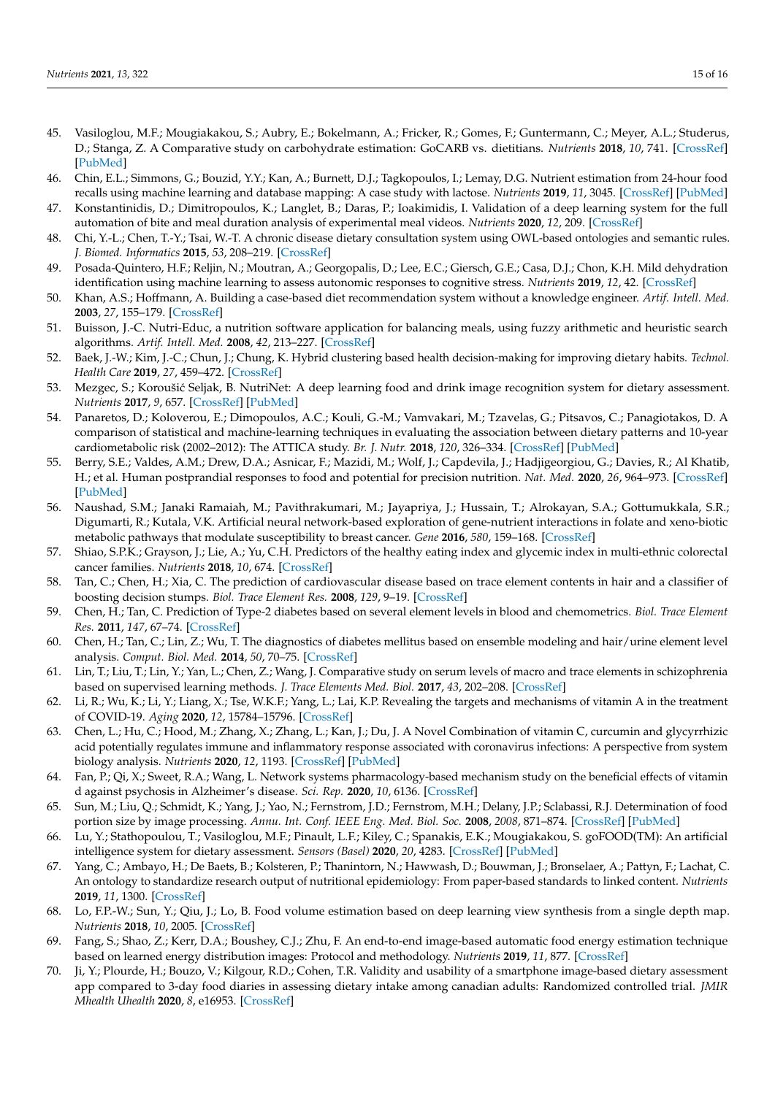- <span id="page-14-7"></span>45. Vasiloglou, M.F.; Mougiakakou, S.; Aubry, E.; Bokelmann, A.; Fricker, R.; Gomes, F.; Guntermann, C.; Meyer, A.L.; Studerus, D.; Stanga, Z. A Comparative study on carbohydrate estimation: GoCARB vs. dietitians. *Nutrients* **2018**, *10*, 741. [\[CrossRef\]](http://doi.org/10.3390/nu10060741) [\[PubMed\]](http://www.ncbi.nlm.nih.gov/pubmed/29880772)
- <span id="page-14-8"></span>46. Chin, E.L.; Simmons, G.; Bouzid, Y.Y.; Kan, A.; Burnett, D.J.; Tagkopoulos, I.; Lemay, D.G. Nutrient estimation from 24-hour food recalls using machine learning and database mapping: A case study with lactose. *Nutrients* **2019**, *11*, 3045. [\[CrossRef\]](http://doi.org/10.3390/nu11123045) [\[PubMed\]](http://www.ncbi.nlm.nih.gov/pubmed/31847188)
- <span id="page-14-9"></span>47. Konstantinidis, D.; Dimitropoulos, K.; Langlet, B.; Daras, P.; Ioakimidis, I. Validation of a deep learning system for the full automation of bite and meal duration analysis of experimental meal videos. *Nutrients* **2020**, *12*, 209. [\[CrossRef\]](http://doi.org/10.3390/nu12010209)
- <span id="page-14-10"></span>48. Chi, Y.-L.; Chen, T.-Y.; Tsai, W.-T. A chronic disease dietary consultation system using OWL-based ontologies and semantic rules. *J. Biomed. Informatics* **2015**, *53*, 208–219. [\[CrossRef\]](http://doi.org/10.1016/j.jbi.2014.11.001)
- <span id="page-14-11"></span>49. Posada-Quintero, H.F.; Reljin, N.; Moutran, A.; Georgopalis, D.; Lee, E.C.; Giersch, G.E.; Casa, D.J.; Chon, K.H. Mild dehydration identification using machine learning to assess autonomic responses to cognitive stress. *Nutrients* **2019**, *12*, 42. [\[CrossRef\]](http://doi.org/10.3390/nu12010042)
- <span id="page-14-12"></span>50. Khan, A.S.; Hoffmann, A. Building a case-based diet recommendation system without a knowledge engineer. *Artif. Intell. Med.* **2003**, *27*, 155–179. [\[CrossRef\]](http://doi.org/10.1016/S0933-3657(02)00113-6)
- <span id="page-14-13"></span>51. Buisson, J.-C. Nutri-Educ, a nutrition software application for balancing meals, using fuzzy arithmetic and heuristic search algorithms. *Artif. Intell. Med.* **2008**, *42*, 213–227. [\[CrossRef\]](http://doi.org/10.1016/j.artmed.2007.12.001)
- <span id="page-14-14"></span>52. Baek, J.-W.; Kim, J.-C.; Chun, J.; Chung, K. Hybrid clustering based health decision-making for improving dietary habits. *Technol. Health Care* **2019**, *27*, 459–472. [\[CrossRef\]](http://doi.org/10.3233/THC-191730)
- <span id="page-14-0"></span>53. Mezgec, S.; Koroušić Seljak, B. NutriNet: A deep learning food and drink image recognition system for dietary assessment. *Nutrients* **2017**, *9*, 657. [\[CrossRef\]](http://doi.org/10.3390/nu9070657) [\[PubMed\]](http://www.ncbi.nlm.nih.gov/pubmed/28653995)
- <span id="page-14-1"></span>54. Panaretos, D.; Koloverou, E.; Dimopoulos, A.C.; Kouli, G.-M.; Vamvakari, M.; Tzavelas, G.; Pitsavos, C.; Panagiotakos, D. A comparison of statistical and machine-learning techniques in evaluating the association between dietary patterns and 10-year cardiometabolic risk (2002–2012): The ATTICA study. *Br. J. Nutr.* **2018**, *120*, 326–334. [\[CrossRef\]](http://doi.org/10.1017/S0007114518001150) [\[PubMed\]](http://www.ncbi.nlm.nih.gov/pubmed/29789037)
- <span id="page-14-15"></span>55. Berry, S.E.; Valdes, A.M.; Drew, D.A.; Asnicar, F.; Mazidi, M.; Wolf, J.; Capdevila, J.; Hadjigeorgiou, G.; Davies, R.; Al Khatib, H.; et al. Human postprandial responses to food and potential for precision nutrition. *Nat. Med.* **2020**, *26*, 964–973. [\[CrossRef\]](http://doi.org/10.1038/s41591-020-0934-0) [\[PubMed\]](http://www.ncbi.nlm.nih.gov/pubmed/32528151)
- <span id="page-14-16"></span>56. Naushad, S.M.; Janaki Ramaiah, M.; Pavithrakumari, M.; Jayapriya, J.; Hussain, T.; Alrokayan, S.A.; Gottumukkala, S.R.; Digumarti, R.; Kutala, V.K. Artificial neural network-based exploration of gene-nutrient interactions in folate and xeno-biotic metabolic pathways that modulate susceptibility to breast cancer. *Gene* **2016**, *580*, 159–168. [\[CrossRef\]](http://doi.org/10.1016/j.gene.2016.01.023)
- <span id="page-14-2"></span>57. Shiao, S.P.K.; Grayson, J.; Lie, A.; Yu, C.H. Predictors of the healthy eating index and glycemic index in multi-ethnic colorectal cancer families. *Nutrients* **2018**, *10*, 674. [\[CrossRef\]](http://doi.org/10.3390/nu10060674)
- <span id="page-14-3"></span>58. Tan, C.; Chen, H.; Xia, C. The prediction of cardiovascular disease based on trace element contents in hair and a classifier of boosting decision stumps. *Biol. Trace Element Res.* **2008**, *129*, 9–19. [\[CrossRef\]](http://doi.org/10.1007/s12011-008-8279-4)
- <span id="page-14-17"></span>59. Chen, H.; Tan, C. Prediction of Type-2 diabetes based on several element levels in blood and chemometrics. *Biol. Trace Element Res.* **2011**, *147*, 67–74. [\[CrossRef\]](http://doi.org/10.1007/s12011-011-9306-4)
- <span id="page-14-18"></span>60. Chen, H.; Tan, C.; Lin, Z.; Wu, T. The diagnostics of diabetes mellitus based on ensemble modeling and hair/urine element level analysis. *Comput. Biol. Med.* **2014**, *50*, 70–75. [\[CrossRef\]](http://doi.org/10.1016/j.compbiomed.2014.04.012)
- <span id="page-14-4"></span>61. Lin, T.; Liu, T.; Lin, Y.; Yan, L.; Chen, Z.; Wang, J. Comparative study on serum levels of macro and trace elements in schizophrenia based on supervised learning methods. *J. Trace Elements Med. Biol.* **2017**, *43*, 202–208. [\[CrossRef\]](http://doi.org/10.1016/j.jtemb.2017.03.010)
- <span id="page-14-5"></span>62. Li, R.; Wu, K.; Li, Y.; Liang, X.; Tse, W.K.F.; Yang, L.; Lai, K.P. Revealing the targets and mechanisms of vitamin A in the treatment of COVID-19. *Aging* **2020**, *12*, 15784–15796. [\[CrossRef\]](http://doi.org/10.18632/aging.103888)
- <span id="page-14-19"></span>63. Chen, L.; Hu, C.; Hood, M.; Zhang, X.; Zhang, L.; Kan, J.; Du, J. A Novel Combination of vitamin C, curcumin and glycyrrhizic acid potentially regulates immune and inflammatory response associated with coronavirus infections: A perspective from system biology analysis. *Nutrients* **2020**, *12*, 1193. [\[CrossRef\]](http://doi.org/10.3390/nu12041193) [\[PubMed\]](http://www.ncbi.nlm.nih.gov/pubmed/32344708)
- <span id="page-14-6"></span>64. Fan, P.; Qi, X.; Sweet, R.A.; Wang, L. Network systems pharmacology-based mechanism study on the beneficial effects of vitamin d against psychosis in Alzheimer's disease. *Sci. Rep.* **2020**, *10*, 6136. [\[CrossRef\]](http://doi.org/10.1038/s41598-020-63021-8)
- <span id="page-14-20"></span>65. Sun, M.; Liu, Q.; Schmidt, K.; Yang, J.; Yao, N.; Fernstrom, J.D.; Fernstrom, M.H.; Delany, J.P.; Sclabassi, R.J. Determination of food portion size by image processing. *Annu. Int. Conf. IEEE Eng. Med. Biol. Soc.* **2008**, *2008*, 871–874. [\[CrossRef\]](http://doi.org/10.1109/iembs.2008.4649292) [\[PubMed\]](http://www.ncbi.nlm.nih.gov/pubmed/19162795)
- <span id="page-14-21"></span>66. Lu, Y.; Stathopoulou, T.; Vasiloglou, M.F.; Pinault, L.F.; Kiley, C.; Spanakis, E.K.; Mougiakakou, S. goFOOD(TM): An artificial intelligence system for dietary assessment. *Sensors (Basel)* **2020**, *20*, 4283. [\[CrossRef\]](http://doi.org/10.3390/s20154283) [\[PubMed\]](http://www.ncbi.nlm.nih.gov/pubmed/32752007)
- <span id="page-14-22"></span>67. Yang, C.; Ambayo, H.; De Baets, B.; Kolsteren, P.; Thanintorn, N.; Hawwash, D.; Bouwman, J.; Bronselaer, A.; Pattyn, F.; Lachat, C. An ontology to standardize research output of nutritional epidemiology: From paper-based standards to linked content. *Nutrients* **2019**, *11*, 1300. [\[CrossRef\]](http://doi.org/10.3390/nu11061300)
- <span id="page-14-23"></span>68. Lo, F.P.-W.; Sun, Y.; Qiu, J.; Lo, B. Food volume estimation based on deep learning view synthesis from a single depth map. *Nutrients* **2018**, *10*, 2005. [\[CrossRef\]](http://doi.org/10.3390/nu10122005)
- <span id="page-14-24"></span>69. Fang, S.; Shao, Z.; Kerr, D.A.; Boushey, C.J.; Zhu, F. An end-to-end image-based automatic food energy estimation technique based on learned energy distribution images: Protocol and methodology. *Nutrients* **2019**, *11*, 877. [\[CrossRef\]](http://doi.org/10.3390/nu11040877)
- <span id="page-14-25"></span>70. Ji, Y.; Plourde, H.; Bouzo, V.; Kilgour, R.D.; Cohen, T.R. Validity and usability of a smartphone image-based dietary assessment app compared to 3-day food diaries in assessing dietary intake among canadian adults: Randomized controlled trial. *JMIR Mhealth Uhealth* **2020**, *8*, e16953. [\[CrossRef\]](http://doi.org/10.2196/16953)